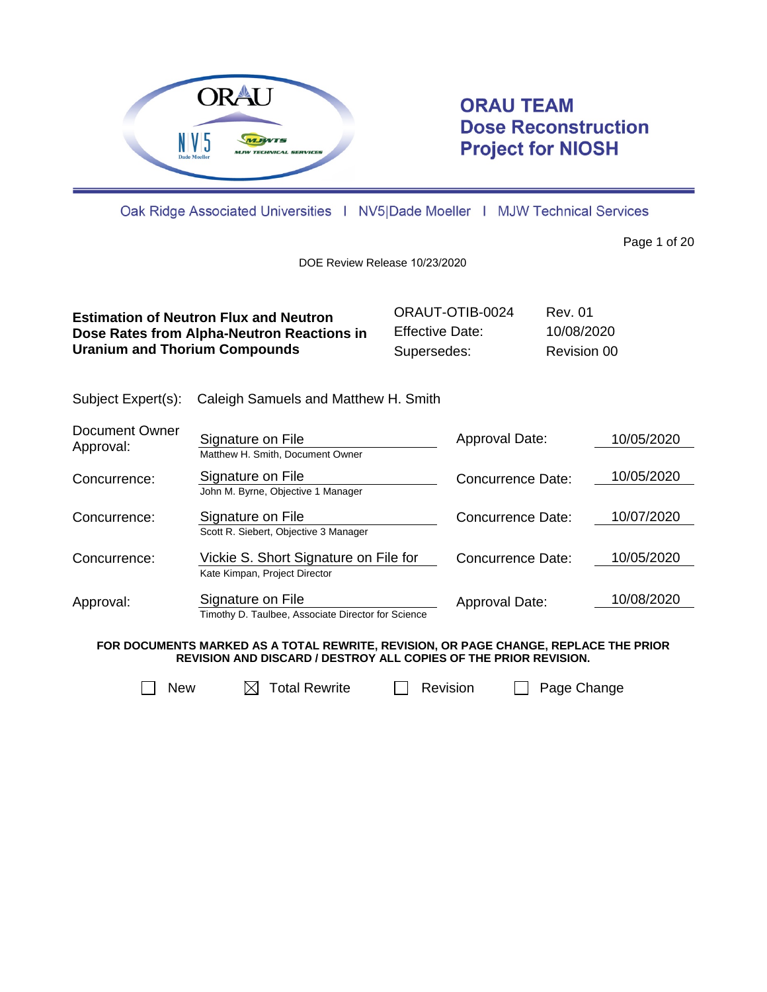

# **ORAU TEAM Dose Reconstruction Project for NIOSH**

Oak Ridge Associated Universities | NV5|Dade Moeller | MJW Technical Services

Page 1 of 20

DOE Review Release 10/23/2020

| <b>Estimation of Neutron Flux and Neutron</b> | ORAUT-OTIB-0024 | Rev. 01     |
|-----------------------------------------------|-----------------|-------------|
| Dose Rates from Alpha-Neutron Reactions in    | Effective Date: | 10/08/2020  |
| <b>Uranium and Thorium Compounds</b>          | Supersedes:     | Revision 00 |

Subject Expert(s): Caleigh Samuels and Matthew H. Smith

| Document Owner<br>Approval: | Signature on File<br>Matthew H. Smith, Document Owner                   | Approval Date:           | 10/05/2020 |
|-----------------------------|-------------------------------------------------------------------------|--------------------------|------------|
| Concurrence:                | Signature on File<br>John M. Byrne, Objective 1 Manager                 | Concurrence Date:        | 10/05/2020 |
| Concurrence:                | Signature on File<br>Scott R. Siebert, Objective 3 Manager              | <b>Concurrence Date:</b> | 10/07/2020 |
| Concurrence:                | Vickie S. Short Signature on File for<br>Kate Kimpan, Project Director  | Concurrence Date:        | 10/05/2020 |
| Approval:                   | Signature on File<br>Timothy D. Taulbee, Associate Director for Science | Approval Date:           | 10/08/2020 |

**FOR DOCUMENTS MARKED AS A TOTAL REWRITE, REVISION, OR PAGE CHANGE, REPLACE THE PRIOR REVISION AND DISCARD / DESTROY ALL COPIES OF THE PRIOR REVISION.**



 $\Box$  New  $\Box$  Total Rewrite  $\Box$  Revision  $\Box$  Page Change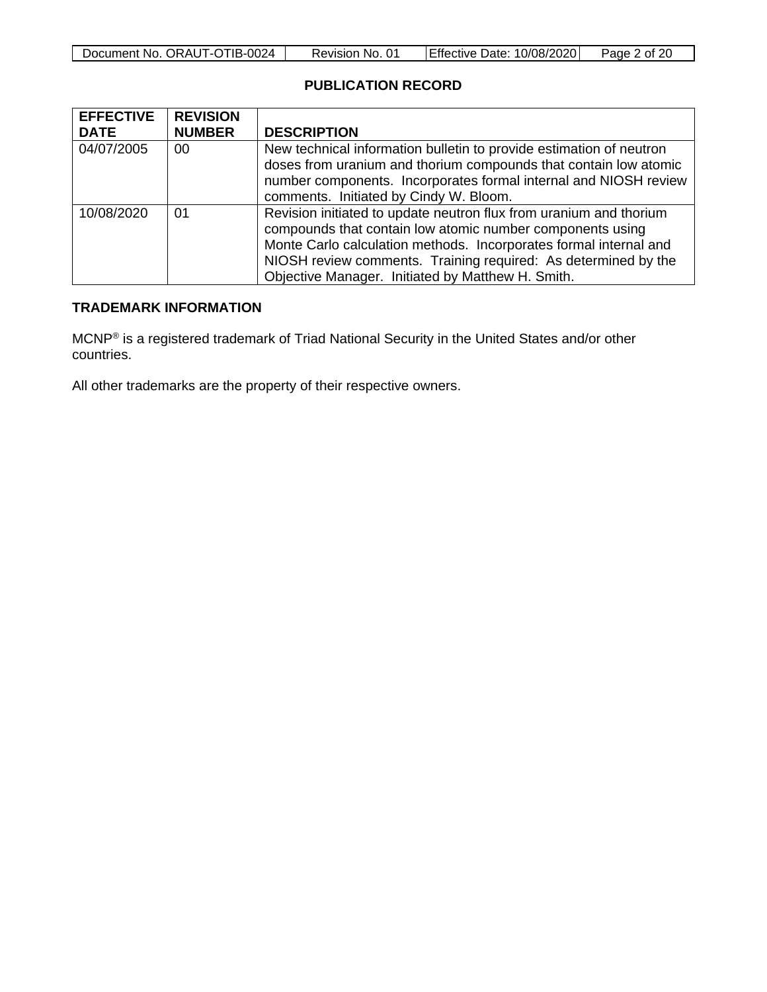| Document No. ORAUT-OTIB-0024 | Revision No. 01 | Effective Date: 10/08/2020 | Page 2 of 20 |
|------------------------------|-----------------|----------------------------|--------------|

# **PUBLICATION RECORD**

| <b>EFFECTIVE</b><br><b>DATE</b> | <b>REVISION</b><br><b>NUMBER</b> | <b>DESCRIPTION</b>                                                                                                                      |  |  |
|---------------------------------|----------------------------------|-----------------------------------------------------------------------------------------------------------------------------------------|--|--|
|                                 |                                  |                                                                                                                                         |  |  |
| 04/07/2005                      | 00                               | New technical information bulletin to provide estimation of neutron<br>doses from uranium and thorium compounds that contain low atomic |  |  |
|                                 |                                  |                                                                                                                                         |  |  |
|                                 |                                  | number components. Incorporates formal internal and NIOSH review                                                                        |  |  |
|                                 |                                  | comments. Initiated by Cindy W. Bloom.                                                                                                  |  |  |
| 10/08/2020                      | 01                               | Revision initiated to update neutron flux from uranium and thorium                                                                      |  |  |
|                                 |                                  | compounds that contain low atomic number components using                                                                               |  |  |
|                                 |                                  | Monte Carlo calculation methods. Incorporates formal internal and                                                                       |  |  |
|                                 |                                  | NIOSH review comments. Training required: As determined by the                                                                          |  |  |
|                                 |                                  | Objective Manager. Initiated by Matthew H. Smith.                                                                                       |  |  |

# **TRADEMARK INFORMATION**

MCNP® is a registered trademark of Triad National Security in the United States and/or other countries.

All other trademarks are the property of their respective owners.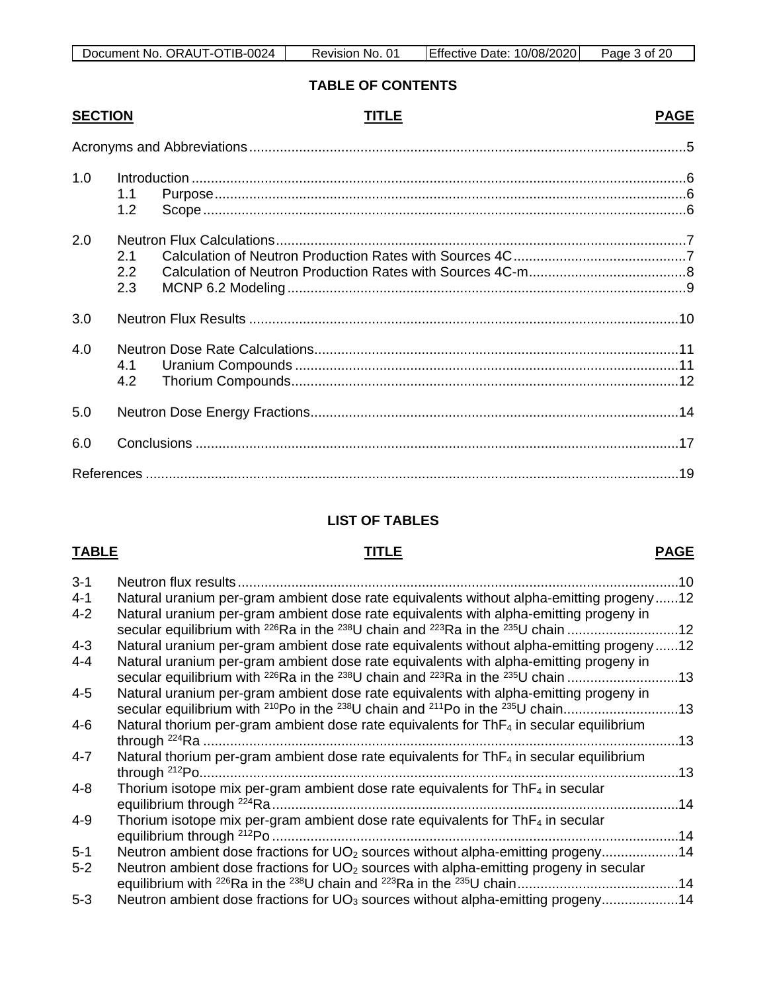# **TABLE OF CONTENTS**

# **SECTION TITLE PAGE**

| 1.0 | 1.1<br>1.2 <sub>1</sub>        |  |
|-----|--------------------------------|--|
| 2.0 | 2.1<br>$2.2\phantom{0}$<br>2.3 |  |
| 3.0 |                                |  |
| 4.0 | 4.1<br>4.2                     |  |
| 5.0 |                                |  |
| 6.0 |                                |  |
|     |                                |  |

# **LIST OF TABLES**

### **TABLE TITLE PAGE**

| $3 - 1$ | Neutron flux results.                                                                                                        | 10  |
|---------|------------------------------------------------------------------------------------------------------------------------------|-----|
| $4 - 1$ | Natural uranium per-gram ambient dose rate equivalents without alpha-emitting progeny12                                      |     |
| $4 - 2$ | Natural uranium per-gram ambient dose rate equivalents with alpha-emitting progeny in                                        |     |
|         | secular equilibrium with <sup>226</sup> Ra in the <sup>238</sup> U chain and <sup>223</sup> Ra in the <sup>235</sup> U chain | .12 |
| $4 - 3$ | Natural uranium per-gram ambient dose rate equivalents without alpha-emitting progeny12                                      |     |
| $4 - 4$ | Natural uranium per-gram ambient dose rate equivalents with alpha-emitting progeny in                                        |     |
|         | secular equilibrium with $^{226}$ Ra in the $^{238}$ U chain and $^{223}$ Ra in the $^{235}$ U chain                         | .13 |
| $4 - 5$ | Natural uranium per-gram ambient dose rate equivalents with alpha-emitting progeny in                                        |     |
|         | secular equilibrium with <sup>210</sup> Po in the <sup>238</sup> U chain and <sup>211</sup> Po in the <sup>235</sup> U chain | .13 |
| $4 - 6$ | Natural thorium per-gram ambient dose rate equivalents for ThF <sub>4</sub> in secular equilibrium                           |     |
|         | through $^{224}$ Ra                                                                                                          | .13 |
| $4 - 7$ | Natural thorium per-gram ambient dose rate equivalents for ThF4 in secular equilibrium                                       |     |
|         |                                                                                                                              | 13  |
| $4 - 8$ | Thorium isotope mix per-gram ambient dose rate equivalents for $ThF4$ in secular                                             |     |
|         |                                                                                                                              | .14 |
| $4 - 9$ | Thorium isotope mix per-gram ambient dose rate equivalents for $ThF4$ in secular                                             |     |
|         |                                                                                                                              | .14 |
| $5 - 1$ | Neutron ambient dose fractions for UO <sub>2</sub> sources without alpha-emitting progeny14                                  |     |
| $5 - 2$ | Neutron ambient dose fractions for UO <sub>2</sub> sources with alpha-emitting progeny in secular                            |     |
|         |                                                                                                                              |     |
| $5 - 3$ | Neutron ambient dose fractions for UO <sub>3</sub> sources without alpha-emitting progeny14                                  |     |
|         |                                                                                                                              |     |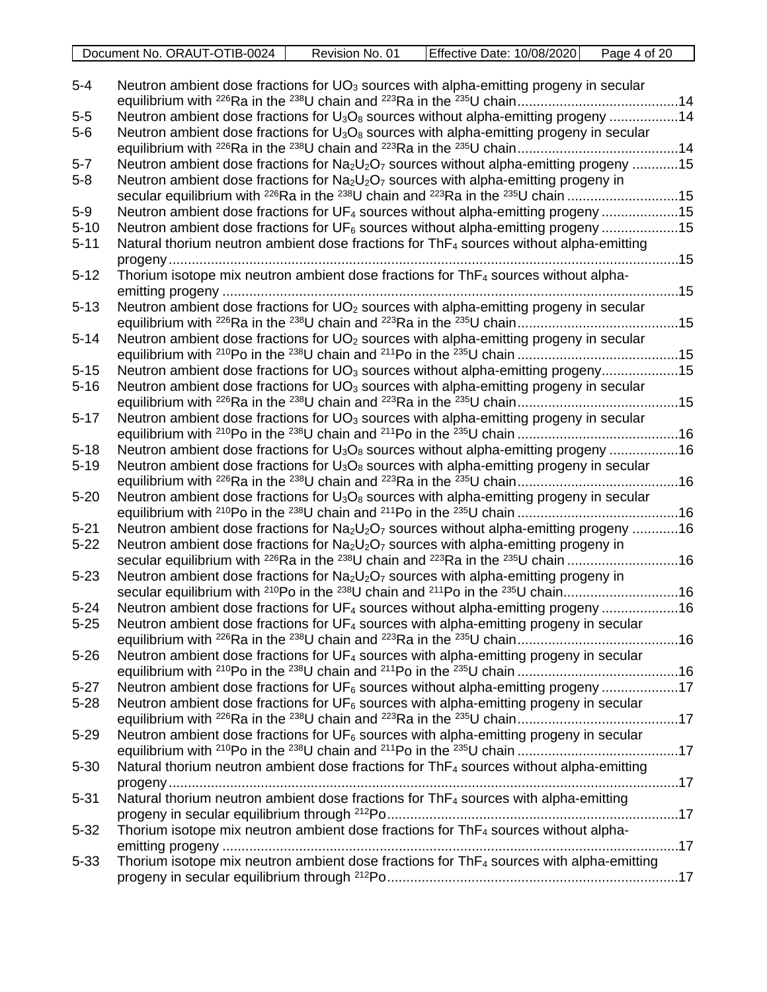| Document No. ORAUT-OTIB-0024 | Revision No. 01 | Effective Date: 10/08/2020 | Page 4 of 20 |
|------------------------------|-----------------|----------------------------|--------------|

| $5-4$    | Neutron ambient dose fractions for $UO_3$ sources with alpha-emitting progeny in secular                                                                                                                               |  |
|----------|------------------------------------------------------------------------------------------------------------------------------------------------------------------------------------------------------------------------|--|
| $5-5$    | Neutron ambient dose fractions for $U_3O_8$ sources without alpha-emitting progeny 14                                                                                                                                  |  |
| $5-6$    | Neutron ambient dose fractions for $U_3O_8$ sources with alpha-emitting progeny in secular                                                                                                                             |  |
|          |                                                                                                                                                                                                                        |  |
| $5-7$    | Neutron ambient dose fractions for $Na2U2O7$ sources without alpha-emitting progeny 15                                                                                                                                 |  |
| $5 - 8$  | Neutron ambient dose fractions for $Na2U2O7$ sources with alpha-emitting progeny in                                                                                                                                    |  |
|          | secular equilibrium with <sup>226</sup> Ra in the <sup>238</sup> U chain and <sup>223</sup> Ra in the <sup>235</sup> U chain 15                                                                                        |  |
| $5-9$    | Neutron ambient dose fractions for UF <sub>4</sub> sources without alpha-emitting progeny 15                                                                                                                           |  |
| $5 - 10$ | Neutron ambient dose fractions for UF <sub>6</sub> sources without alpha-emitting progeny 15                                                                                                                           |  |
| $5 - 11$ | Natural thorium neutron ambient dose fractions for ThF <sub>4</sub> sources without alpha-emitting                                                                                                                     |  |
|          |                                                                                                                                                                                                                        |  |
| $5 - 12$ | Thorium isotope mix neutron ambient dose fractions for ThF <sub>4</sub> sources without alpha-                                                                                                                         |  |
|          |                                                                                                                                                                                                                        |  |
| $5 - 13$ | Neutron ambient dose fractions for UO <sub>2</sub> sources with alpha-emitting progeny in secular                                                                                                                      |  |
|          |                                                                                                                                                                                                                        |  |
| $5 - 14$ | Neutron ambient dose fractions for $UO2$ sources with alpha-emitting progeny in secular                                                                                                                                |  |
|          |                                                                                                                                                                                                                        |  |
| $5 - 15$ | Neutron ambient dose fractions for UO <sub>3</sub> sources without alpha-emitting progeny15                                                                                                                            |  |
| $5 - 16$ | Neutron ambient dose fractions for UO <sub>3</sub> sources with alpha-emitting progeny in secular                                                                                                                      |  |
|          |                                                                                                                                                                                                                        |  |
| $5 - 17$ | Neutron ambient dose fractions for UO <sub>3</sub> sources with alpha-emitting progeny in secular                                                                                                                      |  |
|          |                                                                                                                                                                                                                        |  |
| $5 - 18$ | Neutron ambient dose fractions for $U_3O_8$ sources without alpha-emitting progeny 16                                                                                                                                  |  |
| $5 - 19$ | Neutron ambient dose fractions for $U_3O_8$ sources with alpha-emitting progeny in secular                                                                                                                             |  |
|          |                                                                                                                                                                                                                        |  |
| $5 - 20$ | Neutron ambient dose fractions for $U_3O_8$ sources with alpha-emitting progeny in secular                                                                                                                             |  |
|          |                                                                                                                                                                                                                        |  |
| $5 - 21$ | Neutron ambient dose fractions for Na <sub>2</sub> U <sub>2</sub> O <sub>7</sub> sources without alpha-emitting progeny 16                                                                                             |  |
| $5 - 22$ | Neutron ambient dose fractions for $Na2U2O7$ sources with alpha-emitting progeny in<br>secular equilibrium with <sup>226</sup> Ra in the <sup>238</sup> U chain and <sup>223</sup> Ra in the <sup>235</sup> U chain 16 |  |
| $5 - 23$ | Neutron ambient dose fractions for $Na2U2O7$ sources with alpha-emitting progeny in                                                                                                                                    |  |
|          | secular equilibrium with <sup>210</sup> Po in the <sup>238</sup> U chain and <sup>211</sup> Po in the <sup>235</sup> U chain16                                                                                         |  |
| $5 - 24$ | Neutron ambient dose fractions for UF <sub>4</sub> sources without alpha-emitting progeny 16                                                                                                                           |  |
| $5 - 25$ | Neutron ambient dose fractions for $UF_4$ sources with alpha-emitting progeny in secular                                                                                                                               |  |
|          |                                                                                                                                                                                                                        |  |
| $5 - 26$ | Neutron ambient dose fractions for UF <sub>4</sub> sources with alpha-emitting progeny in secular                                                                                                                      |  |
|          |                                                                                                                                                                                                                        |  |
| $5 - 27$ | Neutron ambient dose fractions for $UF_6$ sources without alpha-emitting progeny 17                                                                                                                                    |  |
| $5 - 28$ | Neutron ambient dose fractions for $UF6$ sources with alpha-emitting progeny in secular                                                                                                                                |  |
|          |                                                                                                                                                                                                                        |  |
| $5 - 29$ | Neutron ambient dose fractions for $UF_6$ sources with alpha-emitting progeny in secular                                                                                                                               |  |
|          |                                                                                                                                                                                                                        |  |
| $5 - 30$ | Natural thorium neutron ambient dose fractions for ThF <sub>4</sub> sources without alpha-emitting                                                                                                                     |  |
|          |                                                                                                                                                                                                                        |  |
| $5 - 31$ | Natural thorium neutron ambient dose fractions for ThF <sub>4</sub> sources with alpha-emitting                                                                                                                        |  |
|          |                                                                                                                                                                                                                        |  |
| $5 - 32$ | Thorium isotope mix neutron ambient dose fractions for ThF <sub>4</sub> sources without alpha-                                                                                                                         |  |
|          |                                                                                                                                                                                                                        |  |
| $5 - 33$ | Thorium isotope mix neutron ambient dose fractions for $ThF4$ sources with alpha-emitting                                                                                                                              |  |
|          |                                                                                                                                                                                                                        |  |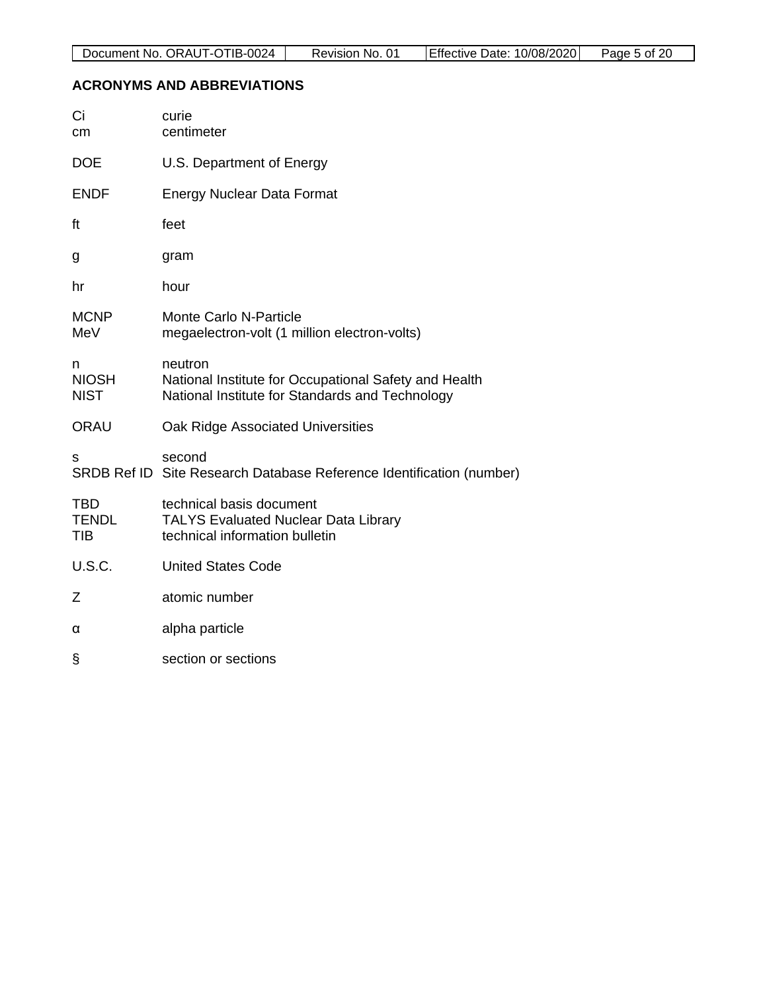# <span id="page-4-0"></span>**ACRONYMS AND ABBREVIATIONS**

| Ci<br>cm                         | curie<br>centimeter                                                                                                 |
|----------------------------------|---------------------------------------------------------------------------------------------------------------------|
| <b>DOE</b>                       | U.S. Department of Energy                                                                                           |
| <b>ENDF</b>                      | <b>Energy Nuclear Data Format</b>                                                                                   |
| ft                               | feet                                                                                                                |
| g                                | gram                                                                                                                |
| hr                               | hour                                                                                                                |
| <b>MCNP</b><br>MeV               | Monte Carlo N-Particle<br>megaelectron-volt (1 million electron-volts)                                              |
| n<br><b>NIOSH</b><br><b>NIST</b> | neutron<br>National Institute for Occupational Safety and Health<br>National Institute for Standards and Technology |
| <b>ORAU</b>                      | Oak Ridge Associated Universities                                                                                   |
| s                                | second<br>SRDB Ref ID Site Research Database Reference Identification (number)                                      |
| TBD<br><b>TENDL</b><br>TIB       | technical basis document<br><b>TALYS Evaluated Nuclear Data Library</b><br>technical information bulletin           |
| <b>U.S.C.</b>                    | <b>United States Code</b>                                                                                           |
| Ζ                                | atomic number                                                                                                       |
| α                                | alpha particle                                                                                                      |
| §                                | section or sections                                                                                                 |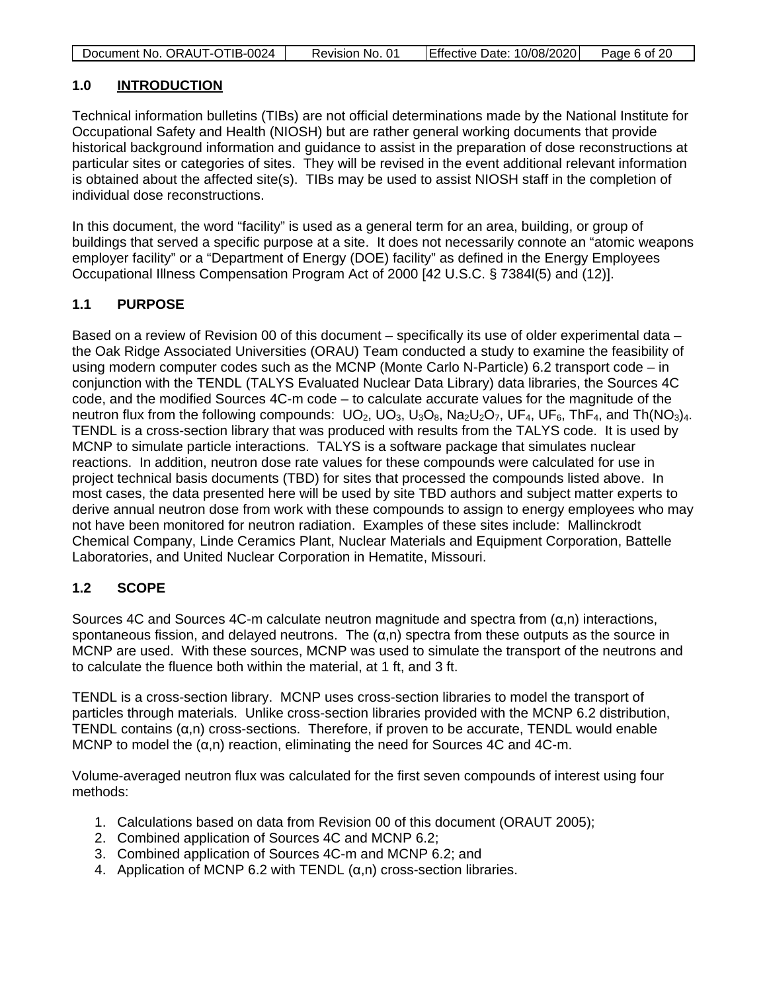| Document No. ORAUT-OTIB-0024 | Revision No. 01 | <b>Effective Date: 10/08/2020</b> | Page 6 of 20 |
|------------------------------|-----------------|-----------------------------------|--------------|

#### <span id="page-5-0"></span>**1.0 INTRODUCTION**

Technical information bulletins (TIBs) are not official determinations made by the National Institute for Occupational Safety and Health (NIOSH) but are rather general working documents that provide historical background information and guidance to assist in the preparation of dose reconstructions at particular sites or categories of sites. They will be revised in the event additional relevant information is obtained about the affected site(s). TIBs may be used to assist NIOSH staff in the completion of individual dose reconstructions.

In this document, the word "facility" is used as a general term for an area, building, or group of buildings that served a specific purpose at a site. It does not necessarily connote an "atomic weapons employer facility" or a "Department of Energy (DOE) facility" as defined in the Energy Employees Occupational Illness Compensation Program Act of 2000 [42 U.S.C. § 7384l(5) and (12)].

### <span id="page-5-1"></span>**1.1 PURPOSE**

Based on a review of Revision 00 of this document – specifically its use of older experimental data – the Oak Ridge Associated Universities (ORAU) Team conducted a study to examine the feasibility of using modern computer codes such as the MCNP (Monte Carlo N-Particle) 6.2 transport code – in conjunction with the TENDL (TALYS Evaluated Nuclear Data Library) data libraries, the Sources 4C code, and the modified Sources 4C-m code – to calculate accurate values for the magnitude of the neutron flux from the following compounds:  $UO_2$ ,  $UO_3$ ,  $U_3O_8$ ,  $Na_2U_2O_7$ ,  $UF_4$ ,  $UF_6$ , Th $F_4$ , and Th(NO<sub>3</sub>)<sub>4</sub>. TENDL is a cross-section library that was produced with results from the TALYS code. It is used by MCNP to simulate particle interactions. TALYS is a software package that simulates nuclear reactions. In addition, neutron dose rate values for these compounds were calculated for use in project technical basis documents (TBD) for sites that processed the compounds listed above. In most cases, the data presented here will be used by site TBD authors and subject matter experts to derive annual neutron dose from work with these compounds to assign to energy employees who may not have been monitored for neutron radiation. Examples of these sites include: Mallinckrodt Chemical Company, Linde Ceramics Plant, Nuclear Materials and Equipment Corporation, Battelle Laboratories, and United Nuclear Corporation in Hematite, Missouri.

# <span id="page-5-2"></span>**1.2 SCOPE**

Sources 4C and Sources 4C-m calculate neutron magnitude and spectra from  $(\alpha, n)$  interactions, spontaneous fission, and delayed neutrons. The  $(\alpha, n)$  spectra from these outputs as the source in MCNP are used. With these sources, MCNP was used to simulate the transport of the neutrons and to calculate the fluence both within the material, at 1 ft, and 3 ft.

TENDL is a cross-section library. MCNP uses cross-section libraries to model the transport of particles through materials. Unlike cross-section libraries provided with the MCNP 6.2 distribution, TENDL contains  $(a,n)$  cross-sections. Therefore, if proven to be accurate, TENDL would enable MCNP to model the  $(a, n)$  reaction, eliminating the need for Sources 4C and 4C-m.

Volume-averaged neutron flux was calculated for the first seven compounds of interest using four methods:

- 1. Calculations based on data from Revision 00 of this document (ORAUT 2005);
- 2. Combined application of Sources 4C and MCNP 6.2;
- 3. Combined application of Sources 4C-m and MCNP 6.2; and
- 4. Application of MCNP 6.2 with TENDL (α,n) cross-section libraries.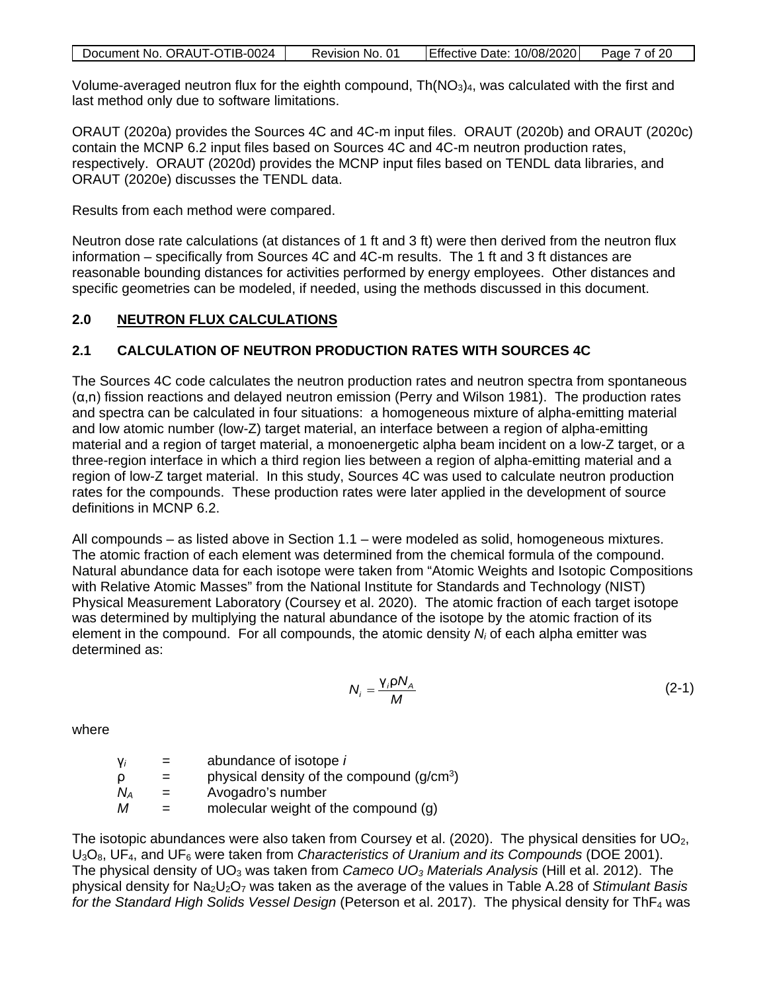| Document No. ORAUT-OTIB-0024 | Revision No. 01 | Effective Date: 10/08/2020 | Page 7 of 20 |
|------------------------------|-----------------|----------------------------|--------------|

Volume-averaged neutron flux for the eighth compound,  $Th(NO<sub>3</sub>)<sub>4</sub>$ , was calculated with the first and last method only due to software limitations.

ORAUT (2020a) provides the Sources 4C and 4C-m input files. ORAUT (2020b) and ORAUT (2020c) contain the MCNP 6.2 input files based on Sources 4C and 4C-m neutron production rates, respectively. ORAUT (2020d) provides the MCNP input files based on TENDL data libraries, and ORAUT (2020e) discusses the TENDL data.

Results from each method were compared.

Neutron dose rate calculations (at distances of 1 ft and 3 ft) were then derived from the neutron flux information – specifically from Sources 4C and 4C-m results. The 1 ft and 3 ft distances are reasonable bounding distances for activities performed by energy employees. Other distances and specific geometries can be modeled, if needed, using the methods discussed in this document.

### <span id="page-6-0"></span>**2.0 NEUTRON FLUX CALCULATIONS**

# <span id="page-6-1"></span>**2.1 CALCULATION OF NEUTRON PRODUCTION RATES WITH SOURCES 4C**

The Sources 4C code calculates the neutron production rates and neutron spectra from spontaneous  $(\alpha, n)$  fission reactions and delayed neutron emission (Perry and Wilson 1981). The production rates and spectra can be calculated in four situations: a homogeneous mixture of alpha-emitting material and low atomic number (low-Z) target material, an interface between a region of alpha-emitting material and a region of target material, a monoenergetic alpha beam incident on a low-Z target, or a three-region interface in which a third region lies between a region of alpha-emitting material and a region of low-Z target material. In this study, Sources 4C was used to calculate neutron production rates for the compounds. These production rates were later applied in the development of source definitions in MCNP 6.2.

All compounds – as listed above in Section [1.1](#page-5-1) – were modeled as solid, homogeneous mixtures. The atomic fraction of each element was determined from the chemical formula of the compound. Natural abundance data for each isotope were taken from "Atomic Weights and Isotopic Compositions with Relative Atomic Masses" from the National Institute for Standards and Technology (NIST) Physical Measurement Laboratory (Coursey et al. 2020). The atomic fraction of each target isotope was determined by multiplying the natural abundance of the isotope by the atomic fraction of its element in the compound. For all compounds, the atomic density *Ni* of each alpha emitter was determined as:

$$
N_i = \frac{V_i \rho N_A}{M} \tag{2-1}
$$

where

γ*i* = abundance of isotope *i*  $\rho =$  physical density of the compound  $(g/cm^3)$  $N_A$  = Avogadro's number  $M =$  molecular weight of the compound (g)

The isotopic abundances were also taken from Coursey et al. (2020). The physical densities for  $UO<sub>2</sub>$ , U3O8, UF4, and UF6 were taken from *Characteristics of Uranium and its Compounds* (DOE 2001). The physical density of UO3 was taken from *Cameco UO3 Materials Analysis* (Hill et al. 2012). The physical density for Na2U2O7 was taken as the average of the values in Table A.28 of *Stimulant Basis for the Standard High Solids Vessel Design* (Peterson et al. 2017). The physical density for ThF<sub>4</sub> was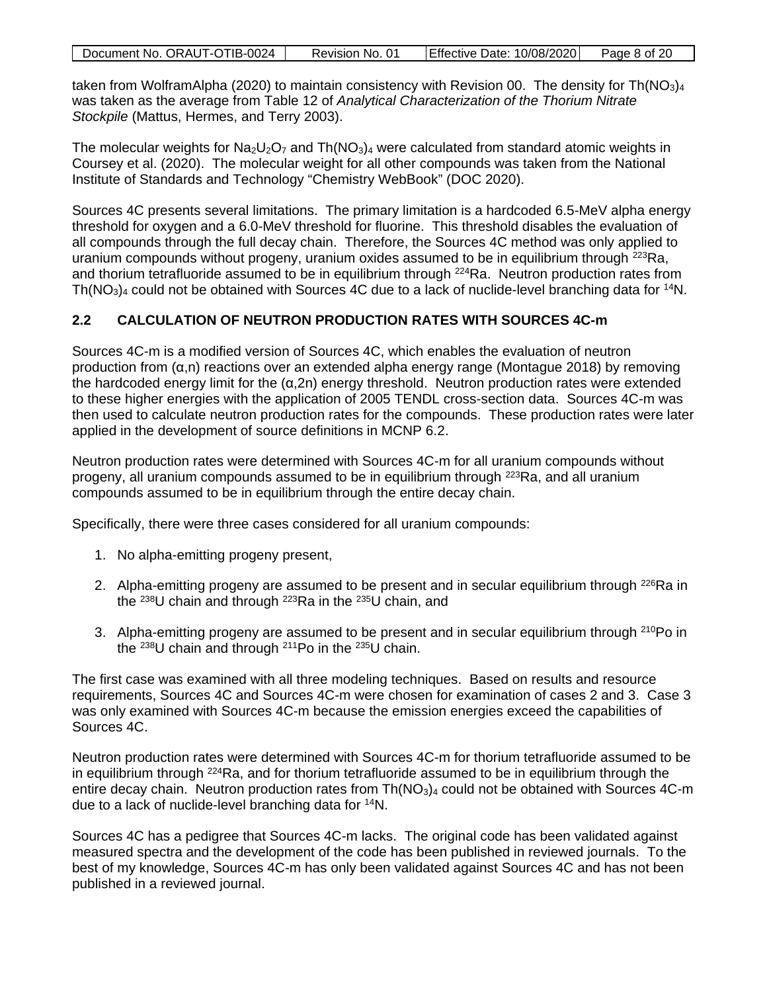| Document No. ORAUT-OTIB-0024 | Revision No. 01 | <b>Effective Date: 10/08/2020</b> | Page 8 of 20 |
|------------------------------|-----------------|-----------------------------------|--------------|

taken from WolframAlpha (2020) to maintain consistency with Revision 00. The density for Th( $NO<sub>3</sub>$ )<sub>4</sub> was taken as the average from Table 12 of *Analytical Characterization of the Thorium Nitrate Stockpile* (Mattus, Hermes, and Terry 2003).

The molecular weights for Na<sub>2</sub>U<sub>2</sub>O<sub>7</sub> and Th(NO<sub>3</sub>)<sub>4</sub> were calculated from standard atomic weights in Coursey et al. (2020). The molecular weight for all other compounds was taken from the National Institute of Standards and Technology "Chemistry WebBook" (DOC 2020).

Sources 4C presents several limitations. The primary limitation is a hardcoded 6.5-MeV alpha energy threshold for oxygen and a 6.0-MeV threshold for fluorine. This threshold disables the evaluation of all compounds through the full decay chain. Therefore, the Sources 4C method was only applied to uranium compounds without progeny, uranium oxides assumed to be in equilibrium through <sup>223</sup>Ra, and thorium tetrafluoride assumed to be in equilibrium through <sup>224</sup>Ra. Neutron production rates from  $Th(NO<sub>3</sub>)<sub>4</sub>$  could not be obtained with Sources 4C due to a lack of nuclide-level branching data for <sup>14</sup>N.

# <span id="page-7-0"></span>**2.2 CALCULATION OF NEUTRON PRODUCTION RATES WITH SOURCES 4C-m**

Sources 4C-m is a modified version of Sources 4C, which enables the evaluation of neutron production from (α,n) reactions over an extended alpha energy range (Montague 2018) by removing the hardcoded energy limit for the (α,2n) energy threshold. Neutron production rates were extended to these higher energies with the application of 2005 TENDL cross-section data. Sources 4C-m was then used to calculate neutron production rates for the compounds. These production rates were later applied in the development of source definitions in MCNP 6.2.

Neutron production rates were determined with Sources 4C-m for all uranium compounds without progeny, all uranium compounds assumed to be in equilibrium through 223Ra, and all uranium compounds assumed to be in equilibrium through the entire decay chain.

Specifically, there were three cases considered for all uranium compounds:

- 1. No alpha-emitting progeny present,
- 2. Alpha-emitting progeny are assumed to be present and in secular equilibrium through <sup>226</sup>Ra in the 238U chain and through 223Ra in the 235U chain, and
- 3. Alpha-emitting progeny are assumed to be present and in secular equilibrium through <sup>210</sup>Po in the 238U chain and through 211Po in the 235U chain.

The first case was examined with all three modeling techniques. Based on results and resource requirements, Sources 4C and Sources 4C-m were chosen for examination of cases 2 and 3. Case 3 was only examined with Sources 4C-m because the emission energies exceed the capabilities of Sources 4C.

Neutron production rates were determined with Sources 4C-m for thorium tetrafluoride assumed to be in equilibrium through 224Ra, and for thorium tetrafluoride assumed to be in equilibrium through the entire decay chain. Neutron production rates from  $Th(NO<sub>3</sub>)<sub>4</sub>$  could not be obtained with Sources 4C-m due to a lack of nuclide-level branching data for 14N.

Sources 4C has a pedigree that Sources 4C-m lacks. The original code has been validated against measured spectra and the development of the code has been published in reviewed journals. To the best of my knowledge, Sources 4C-m has only been validated against Sources 4C and has not been published in a reviewed journal.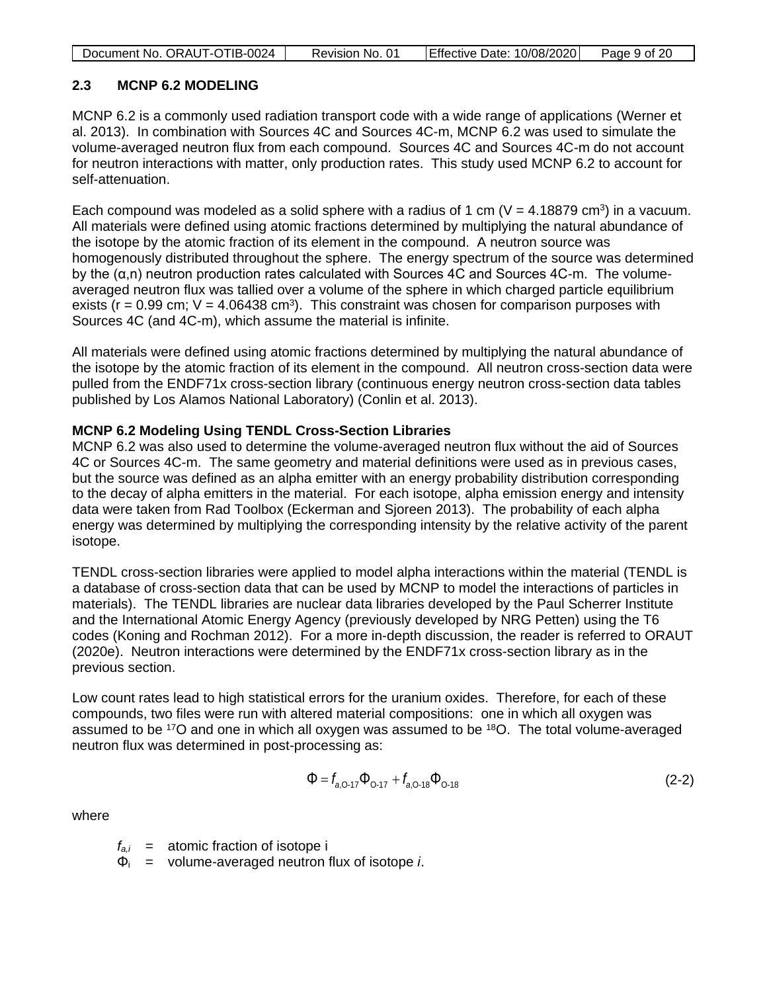| Document No. ORAUT-OTIB-0024<br>Effective Date: 10/08/2020<br>Page 9 of 20<br>Revision No. 01 |
|-----------------------------------------------------------------------------------------------|
|-----------------------------------------------------------------------------------------------|

#### <span id="page-8-0"></span>**2.3 MCNP 6.2 MODELING**

MCNP 6.2 is a commonly used radiation transport code with a wide range of applications (Werner et al. 2013). In combination with Sources 4C and Sources 4C-m, MCNP 6.2 was used to simulate the volume-averaged neutron flux from each compound. Sources 4C and Sources 4C-m do not account for neutron interactions with matter, only production rates. This study used MCNP 6.2 to account for self-attenuation.

Each compound was modeled as a solid sphere with a radius of 1 cm ( $V = 4.18879$  cm<sup>3</sup>) in a vacuum. All materials were defined using atomic fractions determined by multiplying the natural abundance of the isotope by the atomic fraction of its element in the compound. A neutron source was homogenously distributed throughout the sphere. The energy spectrum of the source was determined by the (α,n) neutron production rates calculated with Sources 4C and Sources 4C-m. The volumeaveraged neutron flux was tallied over a volume of the sphere in which charged particle equilibrium exists ( $r = 0.99$  cm;  $V = 4.06438$  cm<sup>3</sup>). This constraint was chosen for comparison purposes with Sources 4C (and 4C-m), which assume the material is infinite.

All materials were defined using atomic fractions determined by multiplying the natural abundance of the isotope by the atomic fraction of its element in the compound. All neutron cross-section data were pulled from the ENDF71x cross-section library (continuous energy neutron cross-section data tables published by Los Alamos National Laboratory) (Conlin et al. 2013).

#### **MCNP 6.2 Modeling Using TENDL Cross-Section Libraries**

MCNP 6.2 was also used to determine the volume-averaged neutron flux without the aid of Sources 4C or Sources 4C-m. The same geometry and material definitions were used as in previous cases, but the source was defined as an alpha emitter with an energy probability distribution corresponding to the decay of alpha emitters in the material. For each isotope, alpha emission energy and intensity data were taken from Rad Toolbox (Eckerman and Sjoreen 2013). The probability of each alpha energy was determined by multiplying the corresponding intensity by the relative activity of the parent isotope.

TENDL cross-section libraries were applied to model alpha interactions within the material (TENDL is a database of cross-section data that can be used by MCNP to model the interactions of particles in materials). The TENDL libraries are nuclear data libraries developed by the Paul Scherrer Institute and the International Atomic Energy Agency (previously developed by NRG Petten) using the T6 codes (Koning and Rochman 2012). For a more in-depth discussion, the reader is referred to ORAUT (2020e). Neutron interactions were determined by the ENDF71x cross-section library as in the previous section.

Low count rates lead to high statistical errors for the uranium oxides. Therefore, for each of these compounds, two files were run with altered material compositions: one in which all oxygen was assumed to be 17O and one in which all oxygen was assumed to be 18O. The total volume-averaged neutron flux was determined in post-processing as:

$$
\Phi = f_{a,0.17} \Phi_{0.17} + f_{a,0.18} \Phi_{0.18}
$$
 (2-2)

where

 $f_{a,i}$  = atomic fraction of isotope i

Φi = volume-averaged neutron flux of isotope *i*.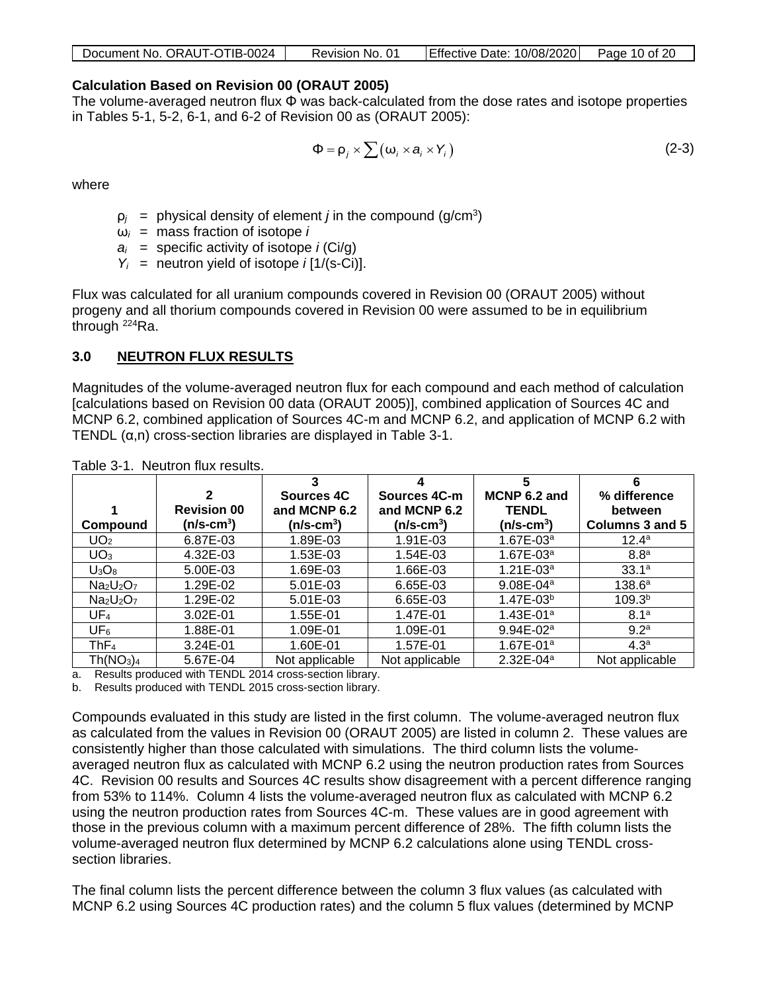| <b>Effective Date: 10/08/2020</b><br>Document No. ORAUT-OTIB-0024<br>Page 10 of 20 |
|------------------------------------------------------------------------------------|
|------------------------------------------------------------------------------------|

#### **Calculation Based on Revision 00 (ORAUT 2005)**

The volume-averaged neutron flux Φ was back-calculated from the dose rates and isotope properties in Tables 5-1, 5-2, 6-1, and 6-2 of Revision 00 as (ORAUT 2005):

$$
\Phi = \rho_j \times \sum (\omega_i \times a_i \times Y_i)
$$
 (2-3)

where

- $p_j$  = physical density of element *j* in the compound (g/cm<sup>3</sup>)
- $\omega_i$  = mass fraction of isotope *i*
- $a_i$  = specific activity of isotope *i* (Ci/g)
- *Yi* = neutron yield of isotope *i* [1/(s-Ci)].

Flux was calculated for all uranium compounds covered in Revision 00 (ORAUT 2005) without progeny and all thorium compounds covered in Revision 00 were assumed to be in equilibrium through 224Ra.

### <span id="page-9-0"></span>**3.0 NEUTRON FLUX RESULTS**

Magnitudes of the volume-averaged neutron flux for each compound and each method of calculation [calculations based on Revision 00 data (ORAUT 2005)], combined application of Sources 4C and MCNP 6.2, combined application of Sources 4C-m and MCNP 6.2, and application of MCNP 6.2 with TENDL (α,n) cross-section libraries are displayed in Table 3-1.

|                                   |                         |                                   |                              | 5                            | 6                       |
|-----------------------------------|-------------------------|-----------------------------------|------------------------------|------------------------------|-------------------------|
|                                   | 2<br><b>Revision 00</b> | <b>Sources 4C</b><br>and MCNP 6.2 | Sources 4C-m<br>and MCNP 6.2 | MCNP 6.2 and<br><b>TENDL</b> | % difference<br>between |
| Compound                          | (n/s-cm $^3$ )          | $(n/s-cm3)$                       | $(n/s$ -cm <sup>3</sup> )    | $(n/s$ -cm $^3)$             | Columns 3 and 5         |
| UO <sub>2</sub>                   | 6.87E-03                | 1.89E-03                          | 1.91E-03                     | $1.67E - 03a$                | 12.4 <sup>a</sup>       |
| UO <sub>3</sub>                   | 4.32E-03                | 1.53E-03                          | 1.54E-03                     | $1.67E - 03a$                | 8.8 <sup>a</sup>        |
| $U_3O_8$                          | 5.00E-03                | 1.69E-03                          | 1.66E-03                     | $1.21E - 03a$                | 33.1a                   |
| $Na2U2O7$                         | 1.29E-02                | 5.01E-03                          | 6.65E-03                     | $9.08E - 04a$                | $138.6^{\circ}$         |
| $Na2U2O7$                         | 1.29E-02                | 5.01E-03                          | 6.65E-03                     | $1.47E - 03b$                | 109.3 <sup>b</sup>      |
| UF <sub>4</sub>                   | 3.02E-01                | 1.55E-01                          | 1.47E-01                     | $1.43E - 01a$                | 8.1 <sup>a</sup>        |
| UF <sub>6</sub>                   | 1.88E-01                | 1.09E-01                          | 1.09E-01                     | $9.94E - 02a$                | 9.2 <sup>a</sup>        |
| ThF <sub>4</sub>                  | 3.24E-01                | 1.60E-01                          | 1.57E-01                     | $1.67E - 01a$                | 4.3 <sup>a</sup>        |
| Th(NO <sub>3</sub> ) <sub>4</sub> | 5.67E-04                | Not applicable                    | Not applicable               | $2.32E - 04a$                | Not applicable          |

<span id="page-9-1"></span>Table 3-1. Neutron flux results.

a. Results produced with TENDL 2014 cross-section library.

b. Results produced with TENDL 2015 cross-section library.

Compounds evaluated in this study are listed in the first column. The volume-averaged neutron flux as calculated from the values in Revision 00 (ORAUT 2005) are listed in column 2. These values are consistently higher than those calculated with simulations. The third column lists the volumeaveraged neutron flux as calculated with MCNP 6.2 using the neutron production rates from Sources 4C. Revision 00 results and Sources 4C results show disagreement with a percent difference ranging from 53% to 114%. Column 4 lists the volume-averaged neutron flux as calculated with MCNP 6.2 using the neutron production rates from Sources 4C-m. These values are in good agreement with those in the previous column with a maximum percent difference of 28%. The fifth column lists the volume-averaged neutron flux determined by MCNP 6.2 calculations alone using TENDL crosssection libraries.

The final column lists the percent difference between the column 3 flux values (as calculated with MCNP 6.2 using Sources 4C production rates) and the column 5 flux values (determined by MCNP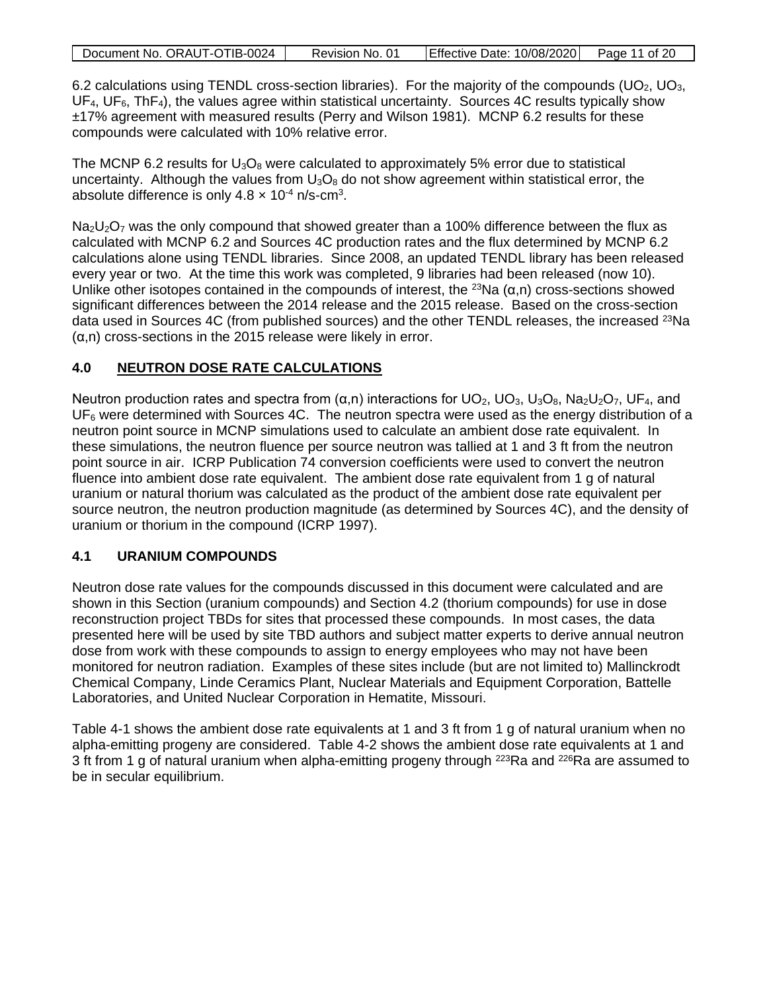| Document No. ORAUT-OTIB-0024 | Revision No. 01 | Effective Date: 10/08/2020 Page 11 of 20 |  |
|------------------------------|-----------------|------------------------------------------|--|
|                              |                 |                                          |  |

6.2 calculations using TENDL cross-section libraries). For the majority of the compounds (UO<sub>2</sub>, UO<sub>3</sub>,  $UF<sub>4</sub>, UF<sub>6</sub>, ThF<sub>4</sub>),$  the values agree within statistical uncertainty. Sources 4C results typically show ±17% agreement with measured results (Perry and Wilson 1981). MCNP 6.2 results for these compounds were calculated with 10% relative error.

The MCNP 6.2 results for  $U_3O_8$  were calculated to approximately 5% error due to statistical uncertainty. Although the values from  $U_3O_8$  do not show agreement within statistical error, the absolute difference is only  $4.8 \times 10^{-4}$  n/s-cm<sup>3</sup>.

 $Na<sub>2</sub>U<sub>2</sub>O<sub>7</sub>$  was the only compound that showed greater than a 100% difference between the flux as calculated with MCNP 6.2 and Sources 4C production rates and the flux determined by MCNP 6.2 calculations alone using TENDL libraries. Since 2008, an updated TENDL library has been released every year or two. At the time this work was completed, 9 libraries had been released (now 10). Unlike other isotopes contained in the compounds of interest, the <sup>23</sup>Na ( $\alpha$ ,n) cross-sections showed significant differences between the 2014 release and the 2015 release. Based on the cross-section data used in Sources 4C (from published sources) and the other TENDL releases, the increased <sup>23</sup>Na  $(\alpha, n)$  cross-sections in the 2015 release were likely in error.

# <span id="page-10-0"></span>**4.0 NEUTRON DOSE RATE CALCULATIONS**

Neutron production rates and spectra from (α,n) interactions for UO<sub>2</sub>, UO<sub>3</sub>, U<sub>3</sub>O<sub>8</sub>, Na<sub>2</sub>U<sub>2</sub>O<sub>7</sub>, UF<sub>4</sub>, and  $UF<sub>6</sub>$  were determined with Sources 4C. The neutron spectra were used as the energy distribution of a neutron point source in MCNP simulations used to calculate an ambient dose rate equivalent. In these simulations, the neutron fluence per source neutron was tallied at 1 and 3 ft from the neutron point source in air. ICRP Publication 74 conversion coefficients were used to convert the neutron fluence into ambient dose rate equivalent. The ambient dose rate equivalent from 1 g of natural uranium or natural thorium was calculated as the product of the ambient dose rate equivalent per source neutron, the neutron production magnitude (as determined by Sources 4C), and the density of uranium or thorium in the compound (ICRP 1997).

# <span id="page-10-1"></span>**4.1 URANIUM COMPOUNDS**

Neutron dose rate values for the compounds discussed in this document were calculated and are shown in this Section (uranium compounds) and Section [4.2](#page-11-0) (thorium compounds) for use in dose reconstruction project TBDs for sites that processed these compounds. In most cases, the data presented here will be used by site TBD authors and subject matter experts to derive annual neutron dose from work with these compounds to assign to energy employees who may not have been monitored for neutron radiation. Examples of these sites include (but are not limited to) Mallinckrodt Chemical Company, Linde Ceramics Plant, Nuclear Materials and Equipment Corporation, Battelle Laboratories, and United Nuclear Corporation in Hematite, Missouri.

Table 4-1 shows the ambient dose rate equivalents at 1 and 3 ft from 1 g of natural uranium when no alpha-emitting progeny are considered. Table 4-2 shows the ambient dose rate equivalents at 1 and 3 ft from 1 g of natural uranium when alpha-emitting progeny through <sup>223</sup>Ra and <sup>226</sup>Ra are assumed to be in secular equilibrium.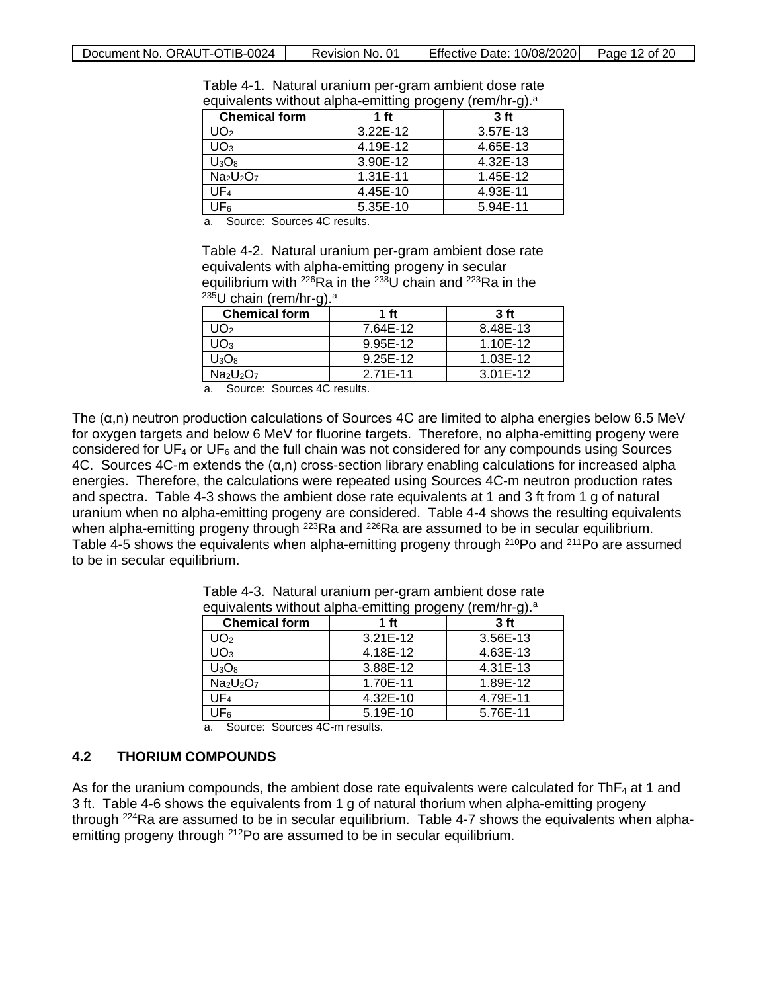<span id="page-11-1"></span>

| <b>Chemical form</b>                          | 1 ft         | J/<br>3 <sub>ft</sub> |
|-----------------------------------------------|--------------|-----------------------|
| UO2                                           | $3.22E - 12$ | 3.57E-13              |
| UO3                                           | 4.19E-12     | 4.65E-13              |
| $U_3O_8$                                      | 3.90E-12     | 4.32E-13              |
| Na <sub>2</sub> U <sub>2</sub> O <sub>7</sub> | 1.31E-11     | 1.45E-12              |
| UF4                                           | 4.45E-10     | 4.93E-11              |
| JF <sub>6</sub>                               | 5.35E-10     | 5.94E-11              |

Table 4-1. Natural uranium per-gram ambient dose rate equivalents without alpha-emitting progeny (rem/hr-g).<sup>a</sup>

a. Source: Sources 4C results.

Table 4-2. Natural uranium per-gram ambient dose rate equivalents with alpha-emitting progeny in secular equilibrium with  $^{226}$ Ra in the  $^{238}$ U chain and  $^{223}$ Ra in the  $^{235}$ U chain (rem/hr-g).<sup>a</sup>

<span id="page-11-2"></span>

| <b>Chemical form</b> | 1 ft     | 3 <sub>f</sub> |  |  |
|----------------------|----------|----------------|--|--|
| $'$ J $O2$           | 7.64E-12 | 8.48E-13       |  |  |
| UO3                  | 9.95E-12 | 1.10E-12       |  |  |
| $U_3O_8$             | 9.25E-12 | 1.03E-12       |  |  |
| $Na2U2O7$            | 2.71E-11 | 3.01E-12       |  |  |

a. Source: Sources 4C results.

The (α,n) neutron production calculations of Sources 4C are limited to alpha energies below 6.5 MeV for oxygen targets and below 6 MeV for fluorine targets. Therefore, no alpha-emitting progeny were considered for  $UF_4$  or  $UF_6$  and the full chain was not considered for any compounds using Sources 4C. Sources 4C-m extends the (α,n) cross-section library enabling calculations for increased alpha energies. Therefore, the calculations were repeated using Sources 4C-m neutron production rates and spectra. Table 4-3 shows the ambient dose rate equivalents at 1 and 3 ft from 1 g of natural uranium when no alpha-emitting progeny are considered. Table 4-4 shows the resulting equivalents when alpha-emitting progeny through <sup>223</sup>Ra and <sup>226</sup>Ra are assumed to be in secular equilibrium. Table 4-5 shows the equivalents when alpha-emitting progeny through  $^{210}$ Po and  $^{211}$ Po are assumed to be in secular equilibrium.

| <b>Chemical form</b>     | ີ<br>1 ft    | ້<br>3 <sub>ft</sub> |
|--------------------------|--------------|----------------------|
| JO2                      | $3.21E - 12$ | 3.56E-13             |
| $\mathsf{U}\mathsf{O}_3$ | 4.18E-12     | 4.63E-13             |
| $U_3O_8$                 | 3.88E-12     | 4.31E-13             |
| $Na2U2O7$                | 1.70E-11     | 1.89E-12             |
| UF4                      | 4.32E-10     | 4.79E-11             |
| JFء                      | 5.19E-10     | 5.76E-11             |

<span id="page-11-3"></span>Table 4-3. Natural uranium per-gram ambient dose rate equivalents without alpha-emitting progeny (rem/hr-g).<sup>a</sup>

a. Source: Sources 4C-m results.

#### <span id="page-11-0"></span>**4.2 THORIUM COMPOUNDS**

As for the uranium compounds, the ambient dose rate equivalents were calculated for  $ThF<sub>4</sub>$  at 1 and 3 ft. Table 4-6 shows the equivalents from 1 g of natural thorium when alpha-emitting progeny through <sup>224</sup>Ra are assumed to be in secular equilibrium. Table 4-7 shows the equivalents when alphaemitting progeny through <sup>212</sup>Po are assumed to be in secular equilibrium.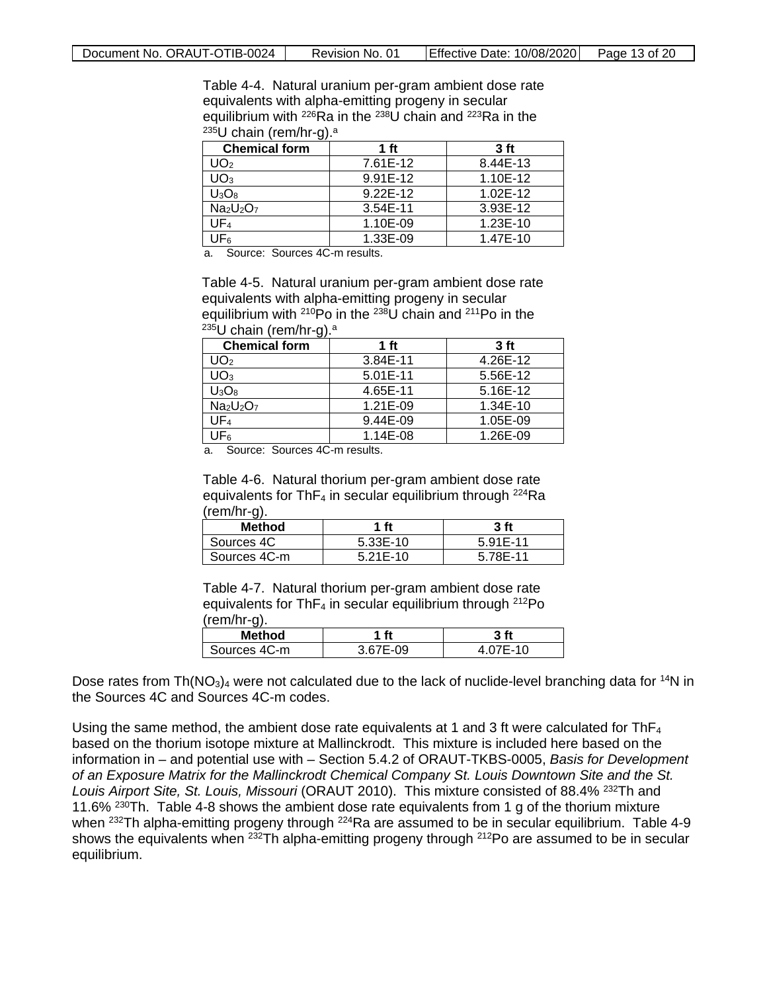Table 4-4. Natural uranium per-gram ambient dose rate equivalents with alpha-emitting progeny in secular equilibrium with 226Ra in the 238U chain and 223Ra in the  $235U$  chain (rem/hr-g).<sup>a</sup>

<span id="page-12-0"></span>

| ີ<br><b>Chemical form</b> | 1 <sub>ft</sub> | 3 <sub>ft</sub> |
|---------------------------|-----------------|-----------------|
| UO2                       | 7.61E-12        | 8.44E-13        |
| $\mathsf{U}\mathsf{O}_3$  | 9.91E-12        | 1.10E-12        |
| $U_3O_8$                  | 9.22E-12        | 1.02E-12        |
| $Na2U2O7$                 | 3.54E-11        | 3.93E-12        |
| UF4                       | 1.10E-09        | 1.23E-10        |
| $JF_6$                    | 1.33E-09        | 1.47E-10        |

a. Source: Sources 4C-m results.

Table 4-5. Natural uranium per-gram ambient dose rate equivalents with alpha-emitting progeny in secular equilibrium with <sup>210</sup>Po in the <sup>238</sup>U chain and <sup>211</sup>Po in the  $235$ U chain (rem/hr-g).<sup>a</sup>

<span id="page-12-1"></span>

| <b>Chemical form</b> | 1 ft         | 3 <sub>ft</sub> |
|----------------------|--------------|-----------------|
| JO <sub>2</sub>      | 3.84E-11     | 4.26E-12        |
| JO3                  | $5.01E - 11$ | 5.56E-12        |
| $U_3O_8$             | 4.65E-11     | 5.16E-12        |
| $Na2U2O7$            | 1.21E-09     | $1.34E - 10$    |
| UF4                  | 9.44E-09     | 1.05E-09        |
| 'JF <sub>6</sub>     | 1.14E-08     | 1.26E-09        |

Source: Sources 4C-m results.

Table 4-6. Natural thorium per-gram ambient dose rate equivalents for Th $F_4$  in secular equilibrium through  $^{224}$ Ra (rem/hr-g).

<span id="page-12-2"></span>

| ີ<br><b>Method</b> | 1 ft       | 3 <sub>ft</sub> |
|--------------------|------------|-----------------|
| Sources 4C         | 5.33E-10   | 5.91E-11        |
| Sources 4C-m       | $5.21E-10$ | 5.78E-11        |

Table 4-7. Natural thorium per-gram ambient dose rate equivalents for Th $F_4$  in secular equilibrium through  $^{212}P_0$ (rem/hr-g).

<span id="page-12-3"></span>

| <b>Method</b> | ft       | 3 ft    |
|---------------|----------|---------|
| Sources 4C-m  | 3.67E-09 | .07E-10 |

Dose rates from Th( $NO<sub>3</sub>$ )<sub>4</sub> were not calculated due to the lack of nuclide-level branching data for <sup>14</sup>N in the Sources 4C and Sources 4C-m codes.

Using the same method, the ambient dose rate equivalents at 1 and 3 ft were calculated for  $ThF_4$ based on the thorium isotope mixture at Mallinckrodt. This mixture is included here based on the information in – and potential use with – Section 5.4.2 of ORAUT-TKBS-0005, *Basis for Development of an Exposure Matrix for the Mallinckrodt Chemical Company St. Louis Downtown Site and the St. Louis Airport Site, St. Louis, Missouri* (ORAUT 2010). This mixture consisted of 88.4% 232Th and 11.6% <sup>230</sup>Th. Table 4-8 shows the ambient dose rate equivalents from 1 g of the thorium mixture when <sup>232</sup>Th alpha-emitting progeny through <sup>224</sup>Ra are assumed to be in secular equilibrium. Table 4-9 shows the equivalents when <sup>232</sup>Th alpha-emitting progeny through <sup>212</sup>Po are assumed to be in secular equilibrium.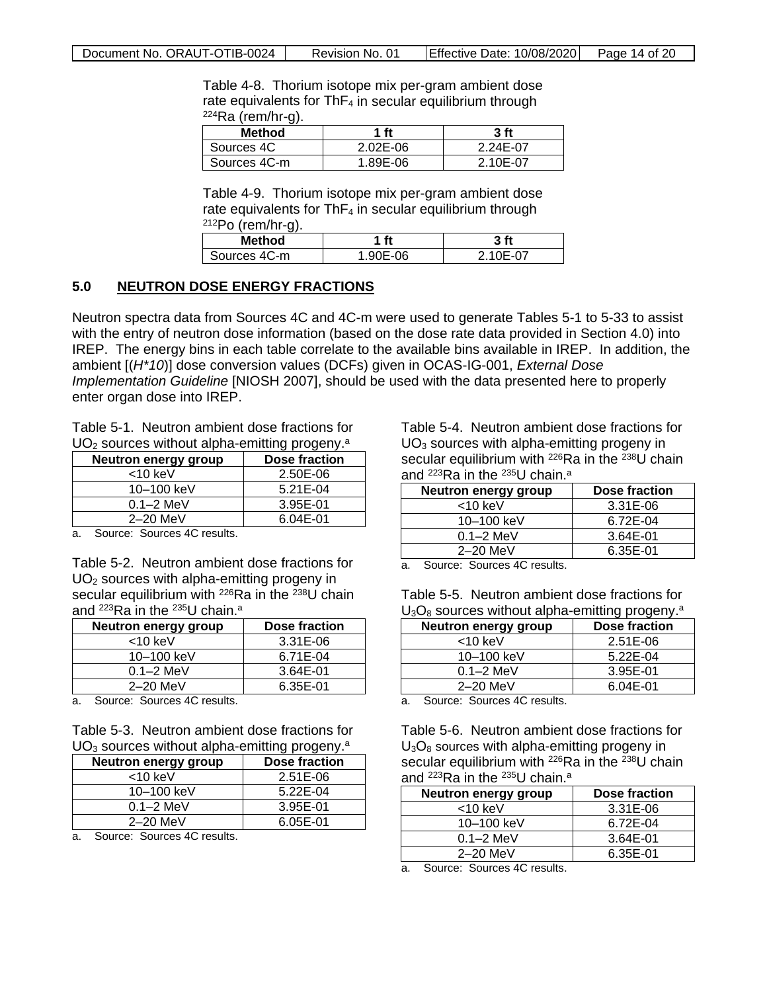Table 4-8. Thorium isotope mix per-gram ambient dose rate equivalents for  $ThF_4$  in secular equilibrium through  $224Ra$  (rem/hr-g).

<span id="page-13-1"></span>

| Method       | 1 ft         | 3 <sub>ft</sub> |
|--------------|--------------|-----------------|
| Sources 4C   | $2.02E - 06$ | 2.24E-07        |
| Sources 4C-m | 1.89E-06     | 2 10F-07        |

Table 4-9. Thorium isotope mix per-gram ambient dose rate equivalents for  $ThF_4$  in secular equilibrium through  $212P<sub>O</sub>$  (rem/hr-g).

<span id="page-13-2"></span>

| <b>Method</b> | ft         | 3f   |
|---------------|------------|------|
| Sources 4C-m  | 0E-06<br>ч | 07-- |

#### <span id="page-13-0"></span>**5.0 NEUTRON DOSE ENERGY FRACTIONS**

Neutron spectra data from Sources 4C and 4C-m were used to generate Tables 5-1 to 5-33 to assist with the entry of neutron dose information (based on the dose rate data provided in Section [4.0\)](#page-10-0) into IREP. The energy bins in each table correlate to the available bins available in IREP. In addition, the ambient [(*H\*10*)] dose conversion values (DCFs) given in OCAS-IG-001, *External Dose Implementation Guideline* [NIOSH 2007], should be used with the data presented here to properly enter organ dose into IREP.

Table 5-1. Neutron ambient dose fractions for  $UO<sub>2</sub>$  sources without alpha-emitting progeny.<sup>a</sup>

| <b>Neutron energy group</b> | Dose fraction |
|-----------------------------|---------------|
| $<$ 10 keV                  | 2.50E-06      |
| 10–100 keV                  | 5.21E-04      |
| $0.1 - 2$ MeV               | 3.95E-01      |
| $2-20$ MeV                  | 6.04E-01      |

a. Source: Sources 4C results.

Table 5-2. Neutron ambient dose fractions for UO2 sources with alpha-emitting progeny in secular equilibrium with  $^{226}$ Ra in the  $^{238}$ U chain and <sup>223</sup>Ra in the <sup>235</sup>U chain.<sup>a</sup>

<span id="page-13-4"></span>

| <b>Neutron energy group</b> | Dose fraction |
|-----------------------------|---------------|
| $<$ 10 keV                  | 3.31E-06      |
| 10-100 keV                  | 6.71E-04      |
| $0.1 - 2$ MeV               | 3.64E-01      |
| $2-20$ MeV                  | 6.35E-01      |

a. Source: Sources 4C results.

Table 5-3. Neutron ambient dose fractions for  $UO<sub>3</sub>$  sources without alpha-emitting progeny.<sup>a</sup>

| Dose fraction |
|---------------|
| $2.51E-06$    |
| 5.22E-04      |
| 3.95E-01      |
| 6.05E-01      |
|               |

a. Source: Sources 4C results.

<span id="page-13-3"></span>Table 5-4. Neutron ambient dose fractions for  $UO<sub>3</sub>$  sources with alpha-emitting progeny in secular equilibrium with  $^{226}$ Ra in the  $^{238}$ U chain and 223Ra in the 235U chain. a

<span id="page-13-6"></span>

| <b>Neutron energy group</b> | Dose fraction |
|-----------------------------|---------------|
| $<$ 10 keV                  | 3.31E-06      |
| 10-100 keV                  | 6.72E-04      |
| $0.1 - 2$ MeV               | 3.64E-01      |
| $2-20$ MeV                  | 6.35E-01      |
|                             |               |

<span id="page-13-7"></span>Source: Sources 4C results.

Table 5-5. Neutron ambient dose fractions for  $U_3O_8$  sources without alpha-emitting progeny.<sup>a</sup>

| Neutron energy group | Dose fraction |
|----------------------|---------------|
| $<$ 10 keV           | 2.51E-06      |
| 10-100 keV           | 5.22E-04      |
| $0.1 - 2$ MeV        | 3.95E-01      |
| $2-20$ MeV           | 6.04E-01      |

a. Source: Sources 4C results.

<span id="page-13-5"></span>Table 5-6. Neutron ambient dose fractions for  $U_3O_8$  sources with alpha-emitting progeny in secular equilibrium with <sup>226</sup>Ra in the <sup>238</sup>U chain and <sup>223</sup>Ra in the <sup>235</sup>U chain.<sup>a</sup>

<span id="page-13-8"></span>

| Neutron energy group | Dose fraction |
|----------------------|---------------|
| <10 keV              | 3.31E-06      |
| 10–100 keV           | 6.72E-04      |
| $0.1 - 2$ MeV        | 3.64E-01      |
| $2-20$ MeV           | 6.35E-01      |

a. Source: Sources 4C results.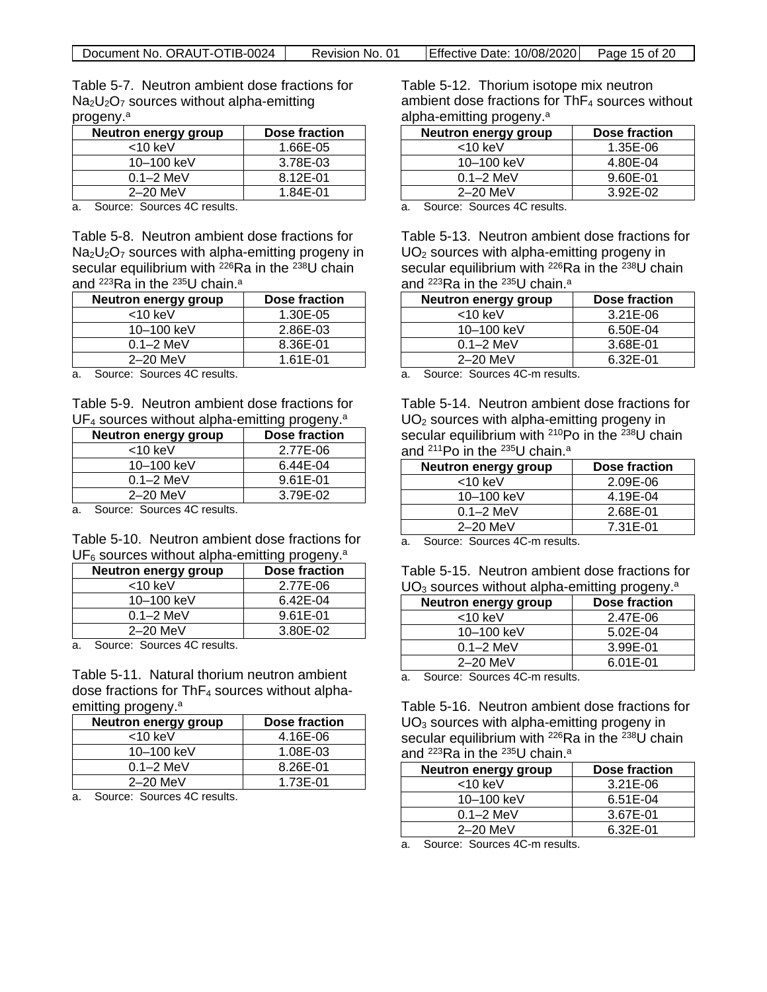Table 5-7. Neutron ambient dose fractions for  $Na<sub>2</sub>U<sub>2</sub>O<sub>7</sub>$  sources without alpha-emitting progeny. a

<span id="page-14-0"></span>

| Neutron energy group | Dose fraction |
|----------------------|---------------|
| $<$ 10 keV           | 1.66E-05      |
| 10–100 keV           | 3.78E-03      |
| $0.1 - 2$ MeV        | 8.12E-01      |
| $2-20$ MeV           | 1.84E-01      |

a. Source: Sources 4C results.

Table 5-8. Neutron ambient dose fractions for  $Na<sub>2</sub>U<sub>2</sub>O<sub>7</sub>$  sources with alpha-emitting progeny in secular equilibrium with <sup>226</sup>Ra in the <sup>238</sup>U chain and <sup>223</sup>Ra in the <sup>235</sup>U chain.ª

<span id="page-14-1"></span>

| <b>Neutron energy group</b> | Dose fraction |
|-----------------------------|---------------|
| $<$ 10 keV                  | 1.30E-05      |
| 10-100 keV                  | 2.86E-03      |
| $0.1 - 2$ MeV               | 8.36E-01      |
| $2-20$ MeV                  | 1.61E-01      |

a. Source: Sources 4C results.

Table 5-9. Neutron ambient dose fractions for UF<sub>4</sub> sources without alpha-emitting progeny.<sup>a</sup>

| <b>Neutron energy group</b> | Dose fraction |
|-----------------------------|---------------|
| $<$ 10 keV                  | 2.77E-06      |
| 10-100 keV                  | 6.44E-04      |
| $0.1 - 2$ MeV               | 9.61E-01      |
| $2-20$ MeV                  | 3.79E-02      |
| -<br>. .                    |               |

a. Source: Sources 4C results.

Table 5-10. Neutron ambient dose fractions for  $UF<sub>6</sub>$  sources without alpha-emitting progeny.<sup>a</sup>

| <b>Neutron energy group</b> | Dose fraction |
|-----------------------------|---------------|
| $<$ 10 keV                  | 2.77E-06      |
| 10-100 keV                  | 6.42E-04      |
| $0.1 - 2$ MeV               | 9.61E-01      |
| $2-20$ MeV                  | 3.80E-02      |

a. Source: Sources 4C results.

Table 5-11. Natural thorium neutron ambient dose fractions for  $ThF<sub>4</sub>$  sources without alphaemitting progeny. a

<span id="page-14-4"></span>

| <b>Neutron energy group</b> | Dose fraction |
|-----------------------------|---------------|
| $<$ 10 keV                  | 4.16E-06      |
| 10-100 keV                  | 1.08E-03      |
| $0.1 - 2$ MeV               | 8.26E-01      |
| $2-20$ MeV                  | 1.73E-01      |

a. Source: Sources 4C results.

Table 5-12. Thorium isotope mix neutron ambient dose fractions for  $ThF<sub>4</sub>$  sources without alpha-emitting progeny. a

<span id="page-14-5"></span>

| <b>Neutron energy group</b>                         | Dose fraction |
|-----------------------------------------------------|---------------|
| $<$ 10 keV                                          | 1.35E-06      |
| 10-100 keV                                          | 4.80E-04      |
| $0.1 - 2$ MeV                                       | 9.60E-01      |
| $2-20$ MeV                                          | 3.92E-02      |
| $\overline{\phantom{0}}$<br>$\sim$<br>$\sim$<br>- - |               |

a. Source: Sources 4C results.

Table 5-13. Neutron ambient dose fractions for  $UO<sub>2</sub>$  sources with alpha-emitting progeny in secular equilibrium with  $^{226}$ Ra in the  $^{238}$ U chain and 223Ra in the 235U chain. a

<span id="page-14-6"></span>

| Neutron energy group | Dose fraction |
|----------------------|---------------|
| $<$ 10 keV           | $3.21E - 06$  |
| 10-100 keV           | 6.50E-04      |
| $0.1 - 2$ MeV        | 3.68E-01      |
| $2-20$ MeV           | 6.32E-01      |
| 。 <b>…</b>           |               |

a. Source: Sources 4C-m results.

<span id="page-14-2"></span>Table 5-14. Neutron ambient dose fractions for UO<sub>2</sub> sources with alpha-emitting progeny in secular equilibrium with  $210PQ$  in the  $238U$  chain and 211Po in the 235U chain. a

<span id="page-14-7"></span>

| <b>Neutron energy group</b> | Dose fraction |
|-----------------------------|---------------|
| $<$ 10 keV                  | 2.09E-06      |
| 10-100 keV                  | 4.19E-04      |
| $0.1 - 2$ MeV               | 2.68E-01      |
| $2-20$ MeV                  | 7.31E-01      |

<span id="page-14-3"></span>a. Source: Sources 4C-m results.

<span id="page-14-8"></span>

| Table 5-15. Neutron ambient dose fractions for             |  |  |  |
|------------------------------------------------------------|--|--|--|
| $UO3$ sources without alpha-emitting progeny. <sup>a</sup> |  |  |  |

| Neutron energy group               | Dose fraction |
|------------------------------------|---------------|
| $<$ 10 keV                         | 2.47E-06      |
| 10-100 keV                         | 5.02E-04      |
| $0.1 - 2$ MeV                      | 3.99E-01      |
| $2-20$ MeV                         | 6.01E-01      |
| $\sim$ $\sim$ $\sim$ $\sim$ $\sim$ |               |

a. Source: Sources 4C-m results.

Table 5-16. Neutron ambient dose fractions for UO<sub>3</sub> sources with alpha-emitting progeny in secular equilibrium with  $^{226}$ Ra in the  $^{238}$ U chain and 223Ra in the 235U chain. a

<span id="page-14-9"></span>

| <b>Neutron energy group</b> | Dose fraction |
|-----------------------------|---------------|
| $<$ 10 keV                  | 3.21E-06      |
| 10-100 keV                  | 6.51E-04      |
| $0.1 - 2$ MeV               | 3.67E-01      |
| $2-20$ MeV                  | 6.32E-01      |

a. Source: Sources 4C-m results.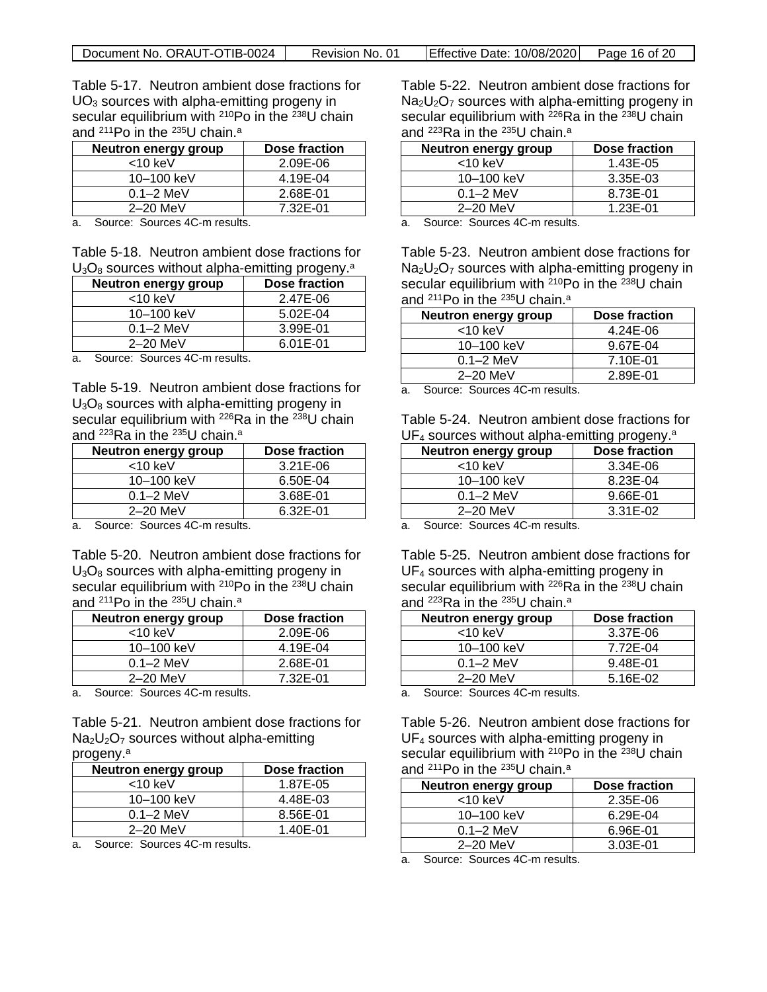| Document No. ORAUT-OTIB-0024 | Revision No. 01 | $\left  \right $ Effective Date: 10/08/2020 $\left  \right $ Page 16 of 20 |  |
|------------------------------|-----------------|----------------------------------------------------------------------------|--|
|------------------------------|-----------------|----------------------------------------------------------------------------|--|

Table 5-17. Neutron ambient dose fractions for  $UO<sub>3</sub>$  sources with alpha-emitting progeny in secular equilibrium with <sup>210</sup>Po in the <sup>238</sup>U chain and 211Po in the 235U chain. a

<span id="page-15-0"></span>

| <b>Neutron energy group</b> | Dose fraction |
|-----------------------------|---------------|
| $<$ 10 keV                  | 2.09E-06      |
| 10–100 keV                  | 4.19E-04      |
| $0.1 - 2$ MeV               | 2.68E-01      |
| $2-20$ MeV                  | 7.32E-01      |

a. Source: Sources 4C-m results.

Table 5-18. Neutron ambient dose fractions for  $U_3O_8$  sources without alpha-emitting progeny.<sup>a</sup>

| <b>Neutron energy group</b> | Dose fraction |
|-----------------------------|---------------|
| $<$ 10 keV                  | 2.47E-06      |
| 10–100 keV                  | 5.02E-04      |
| $0.1 - 2$ MeV               | 3.99E-01      |
| $2-20$ MeV                  | 6.01E-01      |

a. Source: Sources 4C-m results.

Table 5-19. Neutron ambient dose fractions for  $U_3O_8$  sources with alpha-emitting progeny in secular equilibrium with <sup>226</sup>Ra in the <sup>238</sup>U chain and <sup>223</sup>Ra in the <sup>235</sup>U chain.ª

<span id="page-15-2"></span>

| <b>Neutron energy group</b> | Dose fraction |
|-----------------------------|---------------|
| $<$ 10 keV                  | 3.21E-06      |
| 10–100 keV                  | 6.50E-04      |
| $0.1 - 2$ MeV               | 3.68E-01      |
| $2-20$ MeV                  | 6.32E-01      |

a. Source: Sources 4C-m results.

Table 5-20. Neutron ambient dose fractions for  $U_3O_8$  sources with alpha-emitting progeny in secular equilibrium with <sup>210</sup>Po in the <sup>238</sup>U chain and 211Po in the 235U chain. a

<span id="page-15-3"></span>

| <b>Neutron energy group</b> | Dose fraction |
|-----------------------------|---------------|
| $<$ 10 keV                  | 2.09E-06      |
| 10-100 keV                  | 4.19E-04      |
| $0.1 - 2$ MeV               | 2.68E-01      |
| $2-20$ MeV                  | 7.32E-01      |

a. Source: Sources 4C-m results.

Table 5-21. Neutron ambient dose fractions for  $Na<sub>2</sub>U<sub>2</sub>O<sub>7</sub>$  sources without alpha-emitting progeny. a

<span id="page-15-4"></span>

| Neutron energy group | Dose fraction |
|----------------------|---------------|
| $<$ 10 keV           | 1.87E-05      |
| 10–100 keV           | 4.48E-03      |
| $0.1 - 2$ MeV        | 8.56E-01      |
| $2-20$ MeV           | 1.40E-01      |

a. Source: Sources 4C-m results.

Table 5-22. Neutron ambient dose fractions for  $Na<sub>2</sub>U<sub>2</sub>O<sub>7</sub>$  sources with alpha-emitting progeny in secular equilibrium with <sup>226</sup>Ra in the <sup>238</sup>U chain and 223Ra in the 235U chain. a

<span id="page-15-5"></span>

| <b>Neutron energy group</b> | Dose fraction |
|-----------------------------|---------------|
| <10 keV                     | 1.43E-05      |
| 10-100 keV                  | 3.35E-03      |
| $0.1 - 2$ MeV               | 8.73E-01      |
| $2-20$ MeV                  | 1.23E-01      |

a. Source: Sources 4C-m results.

<span id="page-15-1"></span>Table 5-23. Neutron ambient dose fractions for  $Na<sub>2</sub>U<sub>2</sub>O<sub>7</sub>$  sources with alpha-emitting progeny in secular equilibrium with  $210PQ$  in the  $238U$  chain and 211Po in the 235U chain. a

<span id="page-15-6"></span>

| Neutron energy group | Dose fraction |
|----------------------|---------------|
| $<$ 10 keV           | 4.24E-06      |
| 10-100 keV           | 9.67E-04      |
| $0.1 - 2$ MeV        | 7.10E-01      |
| $2-20$ MeV           | 2.89E-01      |
|                      |               |

a. Source: Sources 4C-m results.

Table 5-24. Neutron ambient dose fractions for UF<sub>4</sub> sources without alpha-emitting progeny.<sup>a</sup>

<span id="page-15-7"></span>

| Neutron energy group | Dose fraction |
|----------------------|---------------|
| $<$ 10 keV           | 3.34E-06      |
| 10–100 keV           | 8.23E-04      |
| $0.1 - 2$ MeV        | 9.66E-01      |
| $2-20$ MeV           | 3.31E-02      |

a. Source: Sources 4C-m results.

Table 5-25. Neutron ambient dose fractions for UF<sub>4</sub> sources with alpha-emitting progeny in secular equilibrium with <sup>226</sup>Ra in the <sup>238</sup>U chain and 223Ra in the 235U chain. a

<span id="page-15-8"></span>

| <b>Neutron energy group</b> | Dose fraction |
|-----------------------------|---------------|
| $<$ 10 keV                  | 3.37E-06      |
| 10-100 keV                  | 7.72E-04      |
| $0.1 - 2$ MeV               | 9.48E-01      |
| $2-20$ MeV                  | 5.16E-02      |

a. Source: Sources 4C-m results.

Table 5-26. Neutron ambient dose fractions for UF<sub>4</sub> sources with alpha-emitting progeny in secular equilibrium with <sup>210</sup>Po in the <sup>238</sup>U chain and 211Po in the 235U chain. a

<span id="page-15-9"></span>

| <b>Neutron energy group</b> | Dose fraction |
|-----------------------------|---------------|
| $<$ 10 keV                  | 2.35E-06      |
| 10-100 keV                  | 6.29E-04      |
| $0.1 - 2$ MeV               | 6.96E-01      |
| $2-20$ MeV                  | 3.03E-01      |

a. Source: Sources 4C-m results.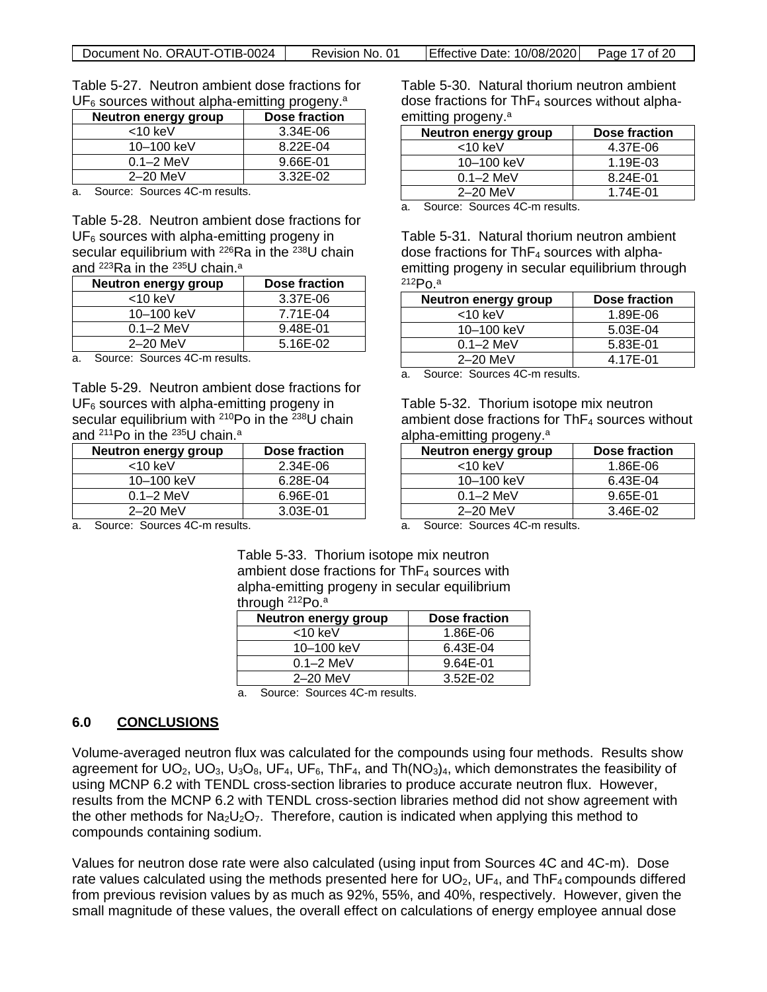| Document No. ORAUT-OTIB-0024 | Revision No. 01 | $\left  \right $ Effective Date: 10/08/2020 Page 17 of 20 |  |
|------------------------------|-----------------|-----------------------------------------------------------|--|
|------------------------------|-----------------|-----------------------------------------------------------|--|

Table 5-27. Neutron ambient dose fractions for  $UF<sub>6</sub>$  sources without alpha-emitting progeny.<sup>a</sup>

| <b>Neutron energy group</b> | Dose fraction |
|-----------------------------|---------------|
| $<$ 10 keV                  | 3.34E-06      |
| 10–100 keV                  | 8.22E-04      |
| $0.1 - 2$ MeV               | 9.66E-01      |
| $2-20$ MeV                  | 3.32E-02      |

a. Source: Sources 4C-m results.

Table 5-28. Neutron ambient dose fractions for  $UF<sub>6</sub>$  sources with alpha-emitting progeny in secular equilibrium with <sup>226</sup>Ra in the <sup>238</sup>U chain and <sup>223</sup>Ra in the <sup>235</sup>U chain.<sup>a</sup>

<span id="page-16-2"></span>

| Neutron energy group | Dose fraction |
|----------------------|---------------|
| $<$ 10 keV           | 3.37E-06      |
| 10–100 keV           | 7.71E-04      |
| $0.1 - 2$ MeV        | 9.48E-01      |
| $2-20$ MeV           | 5.16E-02      |

a. Source: Sources 4C-m results.

Table 5-29. Neutron ambient dose fractions for  $UF<sub>6</sub>$  sources with alpha-emitting progeny in secular equilibrium with <sup>210</sup>Po in the <sup>238</sup>U chain and 211Po in the 235U chain. a

| <b>Neutron energy group</b> | Dose fraction |
|-----------------------------|---------------|
| $<$ 10 keV                  | 2.34E-06      |
| 10-100 keV                  | 6.28E-04      |
| $0.1 - 2$ MeV               | 6.96E-01      |
| $2-20$ MeV                  | 3.03E-01      |

<span id="page-16-1"></span>Table 5-30. Natural thorium neutron ambient dose fractions for  $ThF<sub>4</sub>$  sources without alphaemitting progeny. a

<span id="page-16-4"></span>

| <b>Neutron energy group</b> | Dose fraction |
|-----------------------------|---------------|
| $<$ 10 keV                  | 4.37E-06      |
| 10-100 keV                  | 1.19E-03      |
| $0.1 - 2$ MeV               | 8.24E-01      |
| $2-20$ MeV                  | 1.74E-01      |
|                             |               |

a. Source: Sources 4C-m results.

Table 5-31. Natural thorium neutron ambient dose fractions for  $ThF<sub>4</sub>$  sources with alphaemitting progeny in secular equilibrium through 212Po.a

<span id="page-16-5"></span>

| <b>Neutron energy group</b>                      | Dose fraction |
|--------------------------------------------------|---------------|
| $<$ 10 keV                                       | 1.89E-06      |
| 10-100 keV                                       | 5.03E-04      |
| $0.1 - 2$ MeV                                    | 5.83E-01      |
| $2-20$ MeV                                       | 4.17E-01      |
| $\overline{\phantom{0}}$<br>. .<br>$\sim$<br>. . |               |

a. Source: Sources 4C-m results.

Table 5-32. Thorium isotope mix neutron ambient dose fractions for  $ThF<sub>4</sub>$  sources without alpha-emitting progeny. a

<span id="page-16-6"></span>

| Neutron energy group | Dose fraction |
|----------------------|---------------|
| $<$ 10 keV           | 1.86E-06      |
| 10-100 keV           | 6.43E-04      |
| $0.1 - 2$ MeV        | 9.65E-01      |
| 2-20 MeV             | 3.46E-02      |

a. Source: Sources 4C-m results.

a. Source: Sources 4C-m results.

<span id="page-16-3"></span>Table 5-33. Thorium isotope mix neutron ambient dose fractions for  $ThF<sub>4</sub>$  sources with alpha-emitting progeny in secular equilibrium through <sup>212</sup>Po.<sup>a</sup>

<span id="page-16-7"></span>

| <b>Neutron energy group</b> | Dose fraction |
|-----------------------------|---------------|
| $<$ 10 keV                  | 1.86E-06      |
| 10-100 keV                  | 6.43E-04      |
| $0.1 - 2$ MeV               | 9.64E-01      |
| $2-20$ MeV                  | $3.52E - 02$  |
|                             |               |

a. Source: Sources 4C-m results.

#### <span id="page-16-0"></span>**6.0 CONCLUSIONS**

Volume-averaged neutron flux was calculated for the compounds using four methods. Results show agreement for UO<sub>2</sub>, UO<sub>3</sub>, U<sub>3</sub>O<sub>8</sub>, UF<sub>4</sub>, UF<sub>6</sub>, ThF<sub>4</sub>, and Th(NO<sub>3</sub>)<sub>4</sub>, which demonstrates the feasibility of using MCNP 6.2 with TENDL cross-section libraries to produce accurate neutron flux. However, results from the MCNP 6.2 with TENDL cross-section libraries method did not show agreement with the other methods for  $Na<sub>2</sub>U<sub>2</sub>O<sub>7</sub>$ . Therefore, caution is indicated when applying this method to compounds containing sodium.

Values for neutron dose rate were also calculated (using input from Sources 4C and 4C-m). Dose rate values calculated using the methods presented here for  $UO<sub>2</sub>$ , UF<sub>4</sub>, and ThF<sub>4</sub> compounds differed from previous revision values by as much as 92%, 55%, and 40%, respectively. However, given the small magnitude of these values, the overall effect on calculations of energy employee annual dose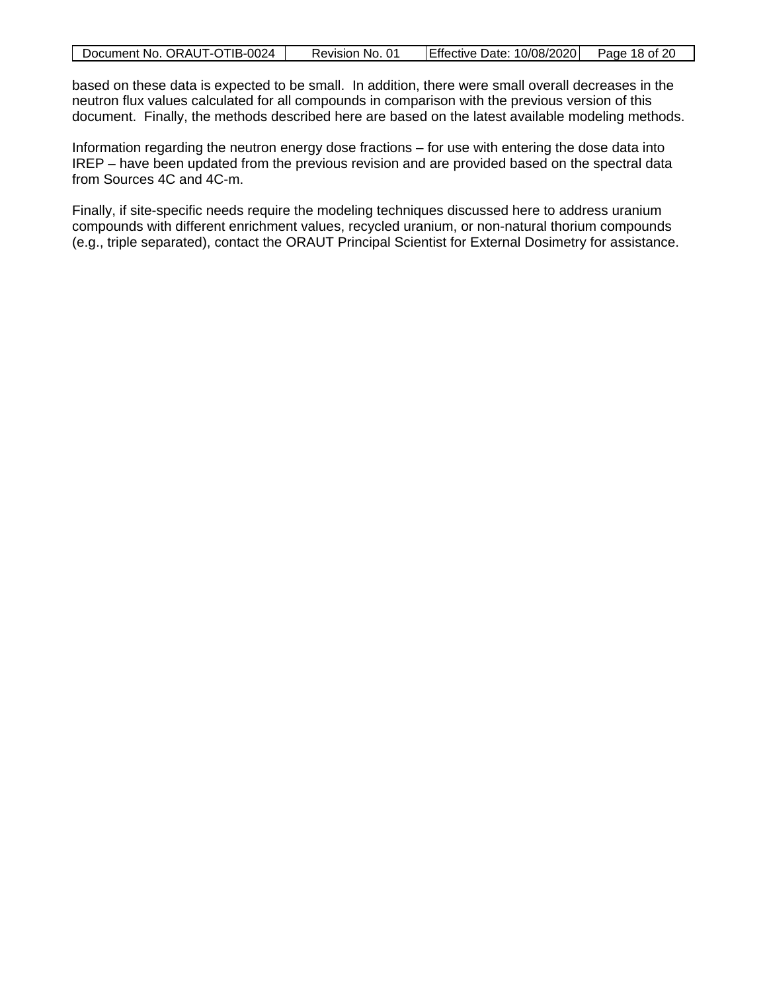|  | Document No. ORAUT-OTIB-0024 | Revision No. 01 | Effective Date: 10/08/2020 Page 18 of 20 |  |
|--|------------------------------|-----------------|------------------------------------------|--|
|--|------------------------------|-----------------|------------------------------------------|--|

based on these data is expected to be small. In addition, there were small overall decreases in the neutron flux values calculated for all compounds in comparison with the previous version of this document. Finally, the methods described here are based on the latest available modeling methods.

Information regarding the neutron energy dose fractions – for use with entering the dose data into IREP – have been updated from the previous revision and are provided based on the spectral data from Sources 4C and 4C-m.

Finally, if site-specific needs require the modeling techniques discussed here to address uranium compounds with different enrichment values, recycled uranium, or non-natural thorium compounds (e.g., triple separated), contact the ORAUT Principal Scientist for External Dosimetry for assistance.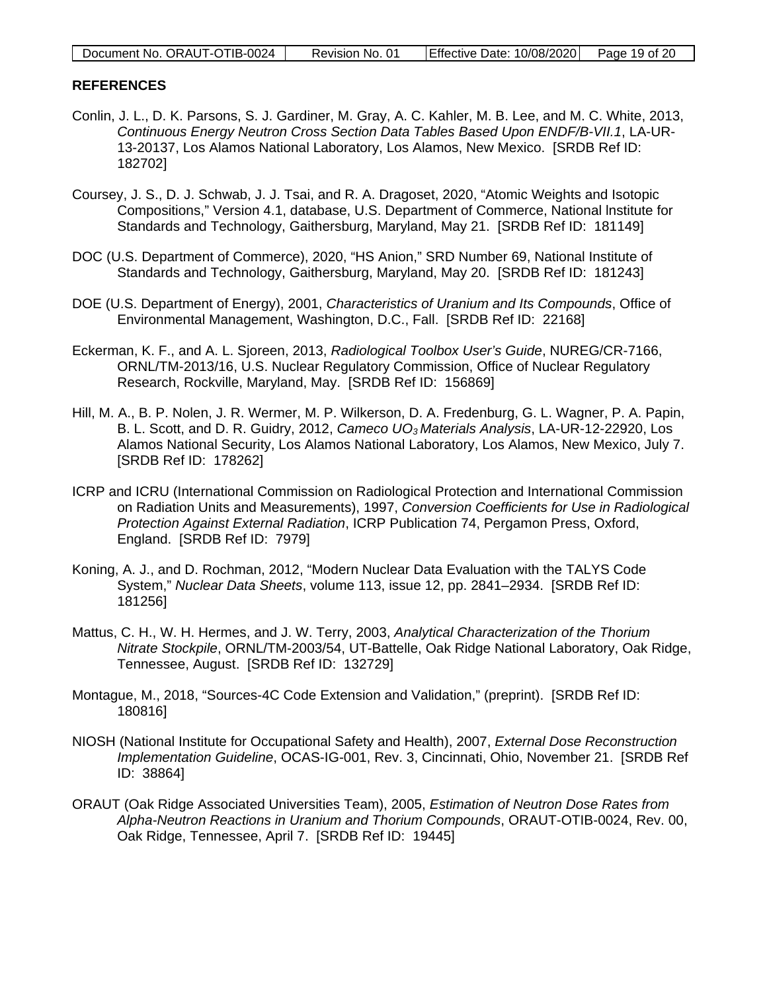| Document No. ORAUT-OTIB-0024 | Revision No. 01 | Effective Date: 10/08/2020 Page 19 of 20 |  |
|------------------------------|-----------------|------------------------------------------|--|

#### <span id="page-18-0"></span>**REFERENCES**

- Conlin, J. L., D. K. Parsons, S. J. Gardiner, M. Gray, A. C. Kahler, M. B. Lee, and M. C. White, 2013, *Continuous Energy Neutron Cross Section Data Tables Based Upon ENDF/B-VII.1*, LA-UR-13-20137, Los Alamos National Laboratory, Los Alamos, New Mexico. [SRDB Ref ID: 182702]
- Coursey, J. S., D. J. Schwab, J. J. Tsai, and R. A. Dragoset, 2020, "Atomic Weights and Isotopic Compositions," Version 4.1, database, U.S. Department of Commerce, National lnstitute for Standards and Technology, Gaithersburg, Maryland, May 21. [SRDB Ref ID: 181149]
- DOC (U.S. Department of Commerce), 2020, "HS Anion," SRD Number 69, National Institute of Standards and Technology, Gaithersburg, Maryland, May 20. [SRDB Ref ID: 181243]
- DOE (U.S. Department of Energy), 2001, *Characteristics of Uranium and Its Compounds*, Office of Environmental Management, Washington, D.C., Fall. [SRDB Ref ID: 22168]
- Eckerman, K. F., and A. L. Sjoreen, 2013, *Radiological Toolbox User's Guide*, NUREG/CR-7166, ORNL/TM-2013/16, U.S. Nuclear Regulatory Commission, Office of Nuclear Regulatory Research, Rockville, Maryland, May. [SRDB Ref ID: 156869]
- Hill, M. A., B. P. Nolen, J. R. Wermer, M. P. Wilkerson, D. A. Fredenburg, G. L. Wagner, P. A. Papin, B. L. Scott, and D. R. Guidry, 2012, *Cameco UO3 Materials Analysis*, LA-UR-12-22920, Los Alamos National Security, Los Alamos National Laboratory, Los Alamos, New Mexico, July 7. [SRDB Ref ID: 178262]
- ICRP and ICRU (International Commission on Radiological Protection and International Commission on Radiation Units and Measurements), 1997, *Conversion Coefficients for Use in Radiological Protection Against External Radiation*, ICRP Publication 74, Pergamon Press, Oxford, England. [SRDB Ref ID: 7979]
- Koning, A. J., and D. Rochman, 2012, "Modern Nuclear Data Evaluation with the TALYS Code System," *Nuclear Data Sheets*, volume 113, issue 12, pp. 2841–2934. [SRDB Ref ID: 181256]
- Mattus, C. H., W. H. Hermes, and J. W. Terry, 2003, *Analytical Characterization of the Thorium Nitrate Stockpile*, ORNL/TM-2003/54, UT-Battelle, Oak Ridge National Laboratory, Oak Ridge, Tennessee, August. [SRDB Ref ID: 132729]
- Montague, M., 2018, "Sources-4C Code Extension and Validation," (preprint). [SRDB Ref ID: 180816]
- NIOSH (National Institute for Occupational Safety and Health), 2007, *External Dose Reconstruction Implementation Guideline*, OCAS-IG-001, Rev. 3, Cincinnati, Ohio, November 21. [SRDB Ref ID: 38864]
- ORAUT (Oak Ridge Associated Universities Team), 2005, *Estimation of Neutron Dose Rates from Alpha-Neutron Reactions in Uranium and Thorium Compounds*, ORAUT-OTIB-0024, Rev. 00, Oak Ridge, Tennessee, April 7. [SRDB Ref ID: 19445]